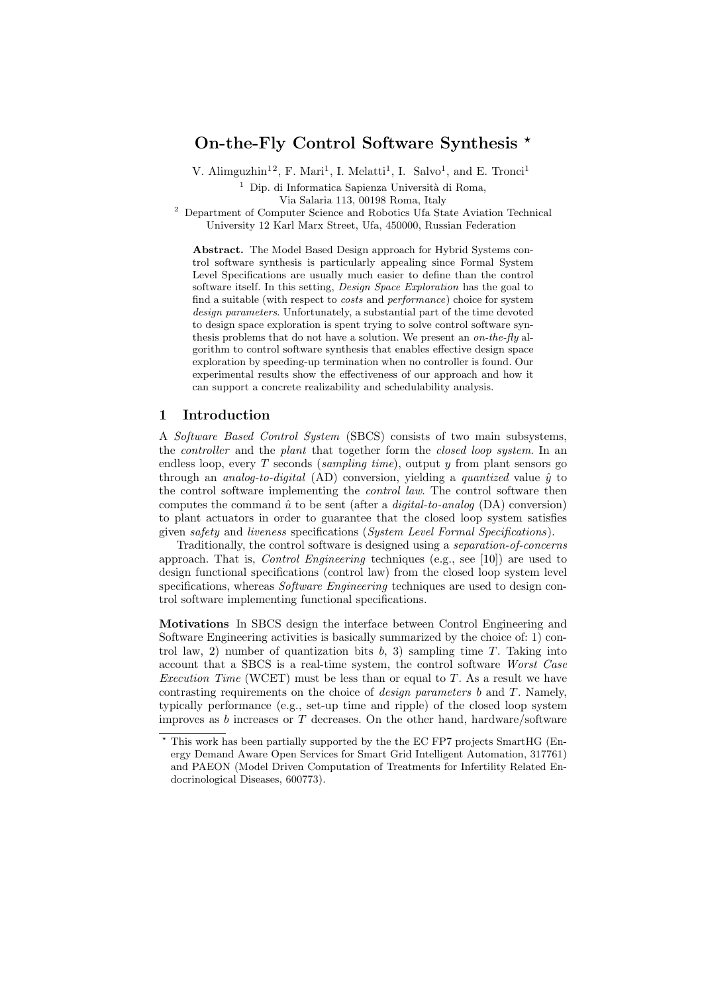# On-the-Fly Control Software Synthesis  $\star$

V. Alimguzhin<sup>12</sup>, F. Mari<sup>1</sup>, I. Melatti<sup>1</sup>, I. Salvo<sup>1</sup>, and E. Tronci<sup>1</sup>

 $^1$  Dip. di Informatica Sapienza Università di Roma,

Via Salaria 113, 00198 Roma, Italy

<sup>2</sup> Department of Computer Science and Robotics Ufa State Aviation Technical University 12 Karl Marx Street, Ufa, 450000, Russian Federation

Abstract. The Model Based Design approach for Hybrid Systems control software synthesis is particularly appealing since Formal System Level Specifications are usually much easier to define than the control software itself. In this setting, *Design Space Exploration* has the goal to find a suitable (with respect to *costs* and *performance*) choice for system *design parameters*. Unfortunately, a substantial part of the time devoted to design space exploration is spent trying to solve control software synthesis problems that do not have a solution. We present an *on-the-fly* algorithm to control software synthesis that enables effective design space exploration by speeding-up termination when no controller is found. Our experimental results show the effectiveness of our approach and how it can support a concrete realizability and schedulability analysis.

# 1 Introduction

A Software Based Control System (SBCS) consists of two main subsystems, the *controller* and the *plant* that together form the *closed loop system*. In an endless loop, every T seconds *(sampling time)*, output  $y$  from plant sensors go through an *analog-to-digital* (AD) conversion, yielding a *quantized* value  $\hat{y}$  to the control software implementing the control law. The control software then computes the command  $\hat{u}$  to be sent (after a *digital-to-analog* (DA) conversion) to plant actuators in order to guarantee that the closed loop system satisfies given safety and liveness specifications (System Level Formal Specifications).

Traditionally, the control software is designed using a separation-of-concerns approach. That is, *Control Engineering* techniques (e.g., see [10]) are used to design functional specifications (control law) from the closed loop system level specifications, whereas Software Engineering techniques are used to design control software implementing functional specifications.

Motivations In SBCS design the interface between Control Engineering and Software Engineering activities is basically summarized by the choice of: 1) control law, 2) number of quantization bits  $b$ , 3) sampling time  $T$ . Taking into account that a SBCS is a real-time system, the control software Worst Case Execution Time (WCET) must be less than or equal to  $T$ . As a result we have contrasting requirements on the choice of design parameters b and T. Namely, typically performance (e.g., set-up time and ripple) of the closed loop system improves as  $b$  increases or  $T$  decreases. On the other hand, hardware/software

<sup>⋆</sup> This work has been partially supported by the the EC FP7 projects SmartHG (Energy Demand Aware Open Services for Smart Grid Intelligent Automation, 317761) and PAEON (Model Driven Computation of Treatments for Infertility Related Endocrinological Diseases, 600773).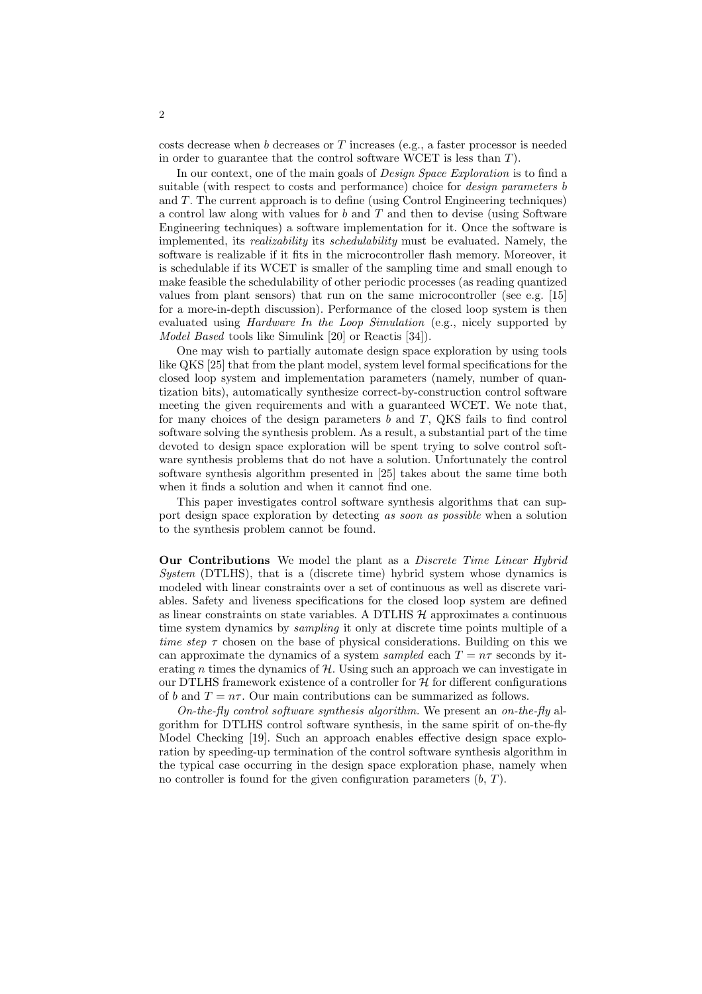costs decrease when b decreases or  $T$  increases (e.g., a faster processor is needed in order to guarantee that the control software WCET is less than T).

In our context, one of the main goals of *Design Space Exploration* is to find a suitable (with respect to costs and performance) choice for *design parameters* b and T. The current approach is to define (using Control Engineering techniques) a control law along with values for  $b$  and  $T$  and then to devise (using Software Engineering techniques) a software implementation for it. Once the software is implemented, its realizability its schedulability must be evaluated. Namely, the software is realizable if it fits in the microcontroller flash memory. Moreover, it is schedulable if its WCET is smaller of the sampling time and small enough to make feasible the schedulability of other periodic processes (as reading quantized values from plant sensors) that run on the same microcontroller (see e.g. [15] for a more-in-depth discussion). Performance of the closed loop system is then evaluated using *Hardware In the Loop Simulation* (e.g., nicely supported by Model Based tools like Simulink [20] or Reactis [34]).

One may wish to partially automate design space exploration by using tools like QKS [25] that from the plant model, system level formal specifications for the closed loop system and implementation parameters (namely, number of quantization bits), automatically synthesize correct-by-construction control software meeting the given requirements and with a guaranteed WCET. We note that, for many choices of the design parameters  $b$  and  $T$ , QKS fails to find control software solving the synthesis problem. As a result, a substantial part of the time devoted to design space exploration will be spent trying to solve control software synthesis problems that do not have a solution. Unfortunately the control software synthesis algorithm presented in [25] takes about the same time both when it finds a solution and when it cannot find one.

This paper investigates control software synthesis algorithms that can support design space exploration by detecting as soon as possible when a solution to the synthesis problem cannot be found.

Our Contributions We model the plant as a *Discrete Time Linear Hybrid* System (DTLHS), that is a (discrete time) hybrid system whose dynamics is modeled with linear constraints over a set of continuous as well as discrete variables. Safety and liveness specifications for the closed loop system are defined as linear constraints on state variables. A DTLHS  $H$  approximates a continuous time system dynamics by *sampling* it only at discrete time points multiple of a time step  $\tau$  chosen on the base of physical considerations. Building on this we can approximate the dynamics of a system sampled each  $T = n\tau$  seconds by iterating n times the dynamics of  $H$ . Using such an approach we can investigate in our DTLHS framework existence of a controller for  $\mathcal H$  for different configurations of b and  $T = n\tau$ . Our main contributions can be summarized as follows.

On-the-fly control software synthesis algorithm. We present an on-the-fly algorithm for DTLHS control software synthesis, in the same spirit of on-the-fly Model Checking [19]. Such an approach enables effective design space exploration by speeding-up termination of the control software synthesis algorithm in the typical case occurring in the design space exploration phase, namely when no controller is found for the given configuration parameters  $(b, T)$ .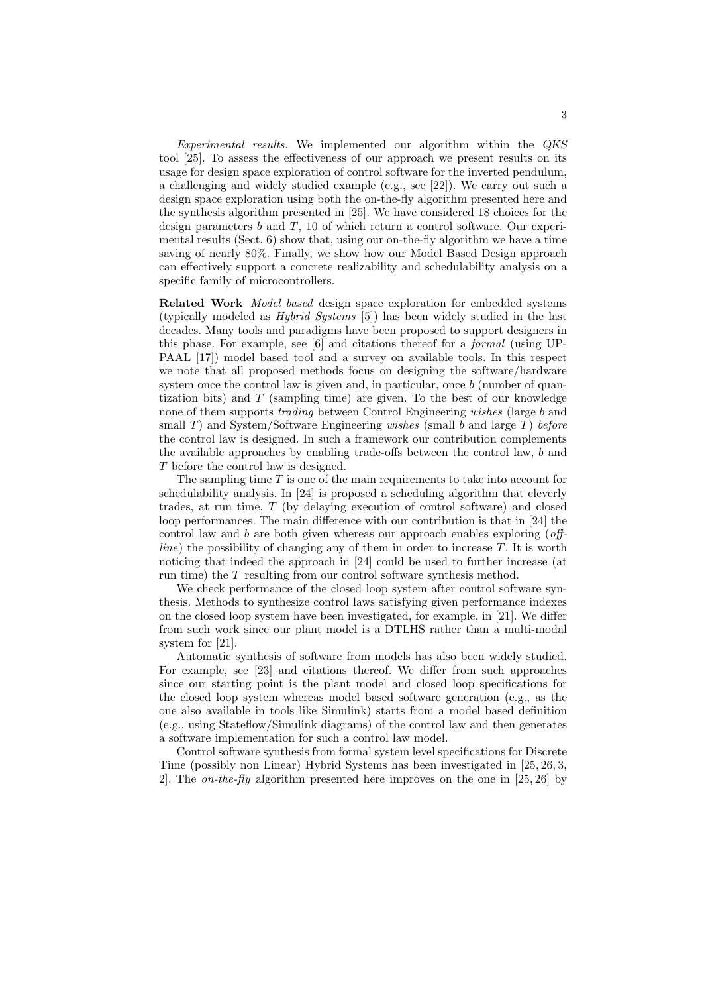Experimental results. We implemented our algorithm within the QKS tool [25]. To assess the effectiveness of our approach we present results on its usage for design space exploration of control software for the inverted pendulum, a challenging and widely studied example (e.g., see [22]). We carry out such a design space exploration using both the on-the-fly algorithm presented here and the synthesis algorithm presented in [25]. We have considered 18 choices for the design parameters  $b$  and  $T$ , 10 of which return a control software. Our experimental results (Sect. 6) show that, using our on-the-fly algorithm we have a time saving of nearly 80%. Finally, we show how our Model Based Design approach can effectively support a concrete realizability and schedulability analysis on a specific family of microcontrollers.

Related Work *Model based* design space exploration for embedded systems (typically modeled as Hybrid Systems [5]) has been widely studied in the last decades. Many tools and paradigms have been proposed to support designers in this phase. For example, see [6] and citations thereof for a formal (using UP-PAAL [17]) model based tool and a survey on available tools. In this respect we note that all proposed methods focus on designing the software/hardware system once the control law is given and, in particular, once  $b$  (number of quantization bits) and  $T$  (sampling time) are given. To the best of our knowledge none of them supports *trading* between Control Engineering wishes (large b and small  $T$ ) and System/Software Engineering wishes (small b and large  $T$ ) before the control law is designed. In such a framework our contribution complements the available approaches by enabling trade-offs between the control law, b and T before the control law is designed.

The sampling time  $T$  is one of the main requirements to take into account for schedulability analysis. In [24] is proposed a scheduling algorithm that cleverly trades, at run time,  $T$  (by delaying execution of control software) and closed loop performances. The main difference with our contribution is that in [24] the control law and b are both given whereas our approach enables exploring  $($ off $line)$  the possibility of changing any of them in order to increase  $T$ . It is worth noticing that indeed the approach in [24] could be used to further increase (at run time) the T resulting from our control software synthesis method.

We check performance of the closed loop system after control software synthesis. Methods to synthesize control laws satisfying given performance indexes on the closed loop system have been investigated, for example, in [21]. We differ from such work since our plant model is a DTLHS rather than a multi-modal system for [21].

Automatic synthesis of software from models has also been widely studied. For example, see [23] and citations thereof. We differ from such approaches since our starting point is the plant model and closed loop specifications for the closed loop system whereas model based software generation (e.g., as the one also available in tools like Simulink) starts from a model based definition (e.g., using Stateflow/Simulink diagrams) of the control law and then generates a software implementation for such a control law model.

Control software synthesis from formal system level specifications for Discrete Time (possibly non Linear) Hybrid Systems has been investigated in [25, 26, 3, 2. The *on-the-fly* algorithm presented here improves on the one in [25, 26] by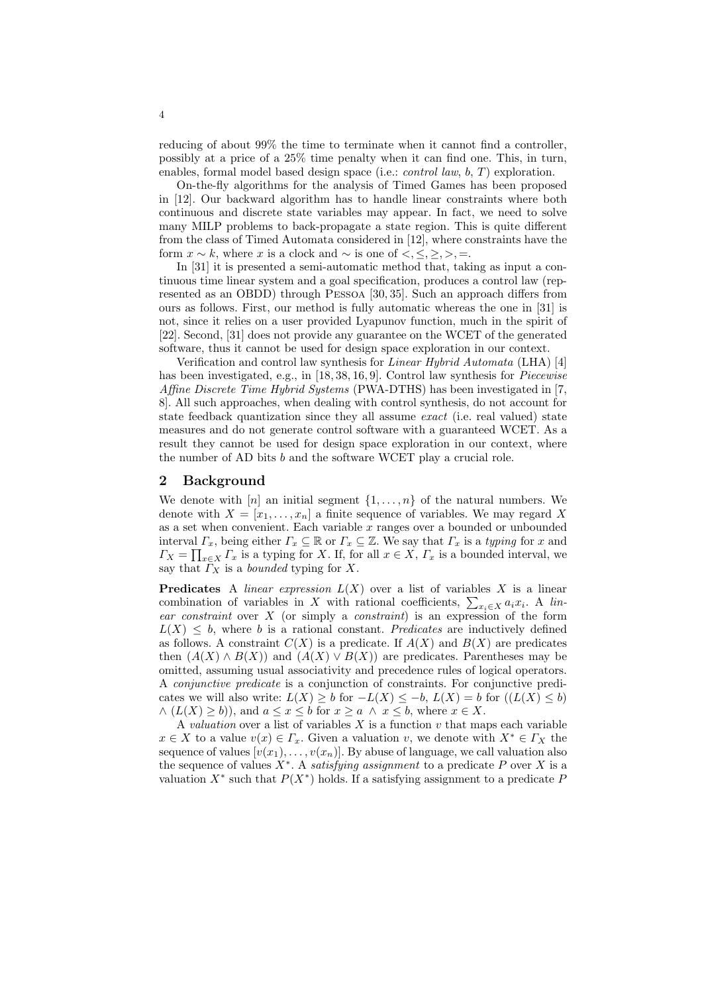reducing of about 99% the time to terminate when it cannot find a controller, possibly at a price of a 25% time penalty when it can find one. This, in turn, enables, formal model based design space (i.e.: *control law*,  $b, T$ ) exploration.

On-the-fly algorithms for the analysis of Timed Games has been proposed in [12]. Our backward algorithm has to handle linear constraints where both continuous and discrete state variables may appear. In fact, we need to solve many MILP problems to back-propagate a state region. This is quite different from the class of Timed Automata considered in [12], where constraints have the form  $x \sim k$ , where x is a clock and  $\sim$  is one of  $\lt, \leq, \geq, \gt,, =$ .

In [31] it is presented a semi-automatic method that, taking as input a continuous time linear system and a goal specification, produces a control law (represented as an OBDD) through Pessoa [30, 35]. Such an approach differs from ours as follows. First, our method is fully automatic whereas the one in [31] is not, since it relies on a user provided Lyapunov function, much in the spirit of [22]. Second, [31] does not provide any guarantee on the WCET of the generated software, thus it cannot be used for design space exploration in our context.

Verification and control law synthesis for Linear Hybrid Automata (LHA) [4] has been investigated, e.g., in [18, 38, 16, 9]. Control law synthesis for *Piecewise* Affine Discrete Time Hybrid Systems (PWA-DTHS) has been investigated in [7, 8]. All such approaches, when dealing with control synthesis, do not account for state feedback quantization since they all assume exact (i.e. real valued) state measures and do not generate control software with a guaranteed WCET. As a result they cannot be used for design space exploration in our context, where the number of AD bits b and the software WCET play a crucial role.

### 2 Background

We denote with [n] an initial segment  $\{1, \ldots, n\}$  of the natural numbers. We denote with  $X = [x_1, \ldots, x_n]$  a finite sequence of variables. We may regard X as a set when convenient. Each variable  $x$  ranges over a bounded or unbounded interval  $\Gamma_x$ , being either  $\Gamma_x \subseteq \mathbb{R}$  or  $\Gamma_x \subseteq \mathbb{Z}$ . We say that  $\Gamma_x$  is a typing for x and  $\Gamma_X = \prod_{x \in X} \Gamma_x$  is a typing for X. If, for all  $x \in X$ ,  $\Gamma_x$  is a bounded interval, we say that  $\Gamma_X$  is a *bounded* typing for X.

**Predicates** A linear expression  $L(X)$  over a list of variables X is a linear combination of variables in X with rational coefficients,  $\sum_{x_i \in X} a_i x_i$ . A linear constraint over  $X$  (or simply a *constraint*) is an expression of the form  $L(X) \leq b$ , where b is a rational constant. Predicates are inductively defined as follows. A constraint  $C(X)$  is a predicate. If  $A(X)$  and  $B(X)$  are predicates then  $(A(X) \wedge B(X))$  and  $(A(X) \vee B(X))$  are predicates. Parentheses may be omitted, assuming usual associativity and precedence rules of logical operators. A conjunctive predicate is a conjunction of constraints. For conjunctive predicates we will also write:  $L(X) \geq b$  for  $-L(X) \leq -b$ ,  $L(X) = b$  for  $((L(X) \leq b)$  $\wedge$   $(L(X) \geq b)$ , and  $a \leq x \leq b$  for  $x \geq a \wedge x \leq b$ , where  $x \in X$ .

A valuation over a list of variables  $X$  is a function  $v$  that maps each variable  $x \in X$  to a value  $v(x) \in \Gamma_x$ . Given a valuation v, we denote with  $X^* \in \Gamma_X$  the sequence of values  $[v(x_1), \ldots, v(x_n)]$ . By abuse of language, we call valuation also the sequence of values  $X^*$ . A satisfying assignment to a predicate P over X is a valuation  $X^*$  such that  $P(X^*)$  holds. If a satisfying assignment to a predicate P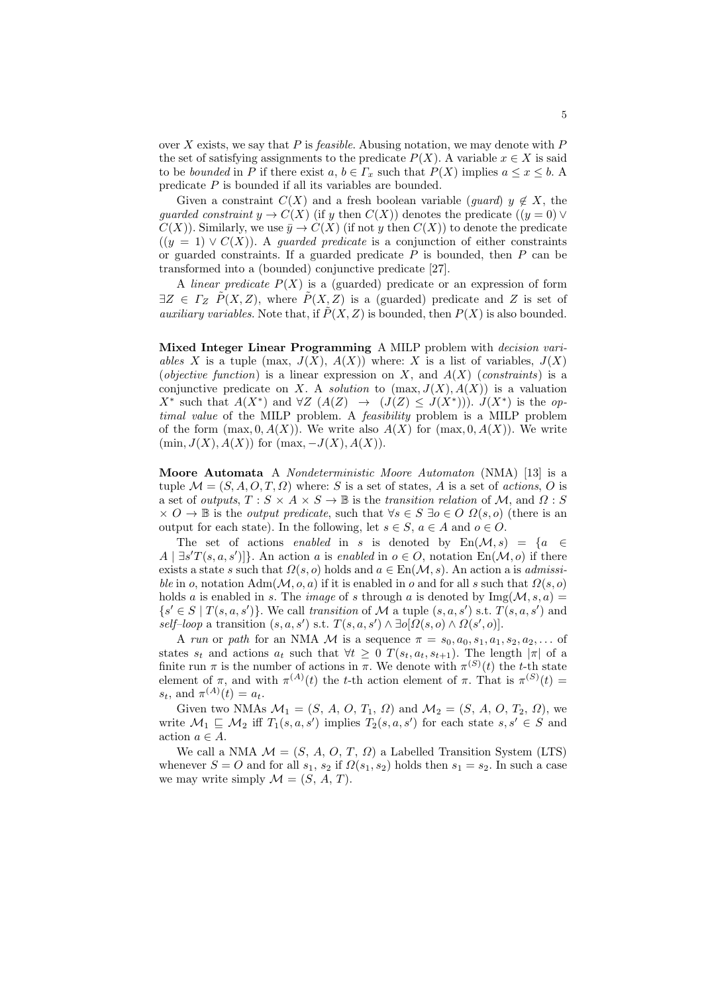over X exists, we say that P is *feasible*. Abusing notation, we may denote with P the set of satisfying assignments to the predicate  $P(X)$ . A variable  $x \in X$  is said to be *bounded* in P if there exist  $a, b \in \Gamma_x$  such that  $P(X)$  implies  $a \leq x \leq b$ . A predicate P is bounded if all its variables are bounded.

Given a constraint  $C(X)$  and a fresh boolean variable (*guard*)  $y \notin X$ , the quarded constraint  $y \to C(X)$  (if y then  $C(X)$ ) denotes the predicate  $((y = 0) \vee$  $C(X)$ ). Similarly, we use  $\bar{y} \to C(X)$  (if not y then  $C(X)$ ) to denote the predicate  $((y = 1) \vee C(X))$ . A quarded predicate is a conjunction of either constraints or guarded constraints. If a guarded predicate  $P$  is bounded, then  $P$  can be transformed into a (bounded) conjunctive predicate [27].

A *linear predicate*  $P(X)$  is a (guarded) predicate or an expression of form  $\exists Z \in \Gamma_Z \ \tilde{P}(X,Z)$ , where  $\tilde{P}(X,Z)$  is a (guarded) predicate and Z is set of *auxiliary variables.* Note that, if  $\tilde{P}(X, Z)$  is bounded, then  $P(X)$  is also bounded.

Mixed Integer Linear Programming A MILP problem with *decision vari*ables X is a tuple (max,  $J(X)$ ,  $A(X)$ ) where: X is a list of variables,  $J(X)$ (*objective function*) is a linear expression on X, and  $A(X)$  (*constraints*) is a conjunctive predicate on X. A *solution* to  $(\max, J(X), A(X))$  is a valuation  $X^*$  such that  $A(X^*)$  and  $\forall Z \; (A(Z) \rightarrow (J(Z) \leq J(X^*)))$ .  $J(X^*)$  is the optimal value of the MILP problem. A feasibility problem is a MILP problem of the form  $(\max, 0, A(X))$ . We write also  $A(X)$  for  $(\max, 0, A(X))$ . We write  $(\min, J(X), A(X))$  for  $(\max, -J(X), A(X)).$ 

Moore Automata A Nondeterministic Moore Automaton (NMA) [13] is a tuple  $\mathcal{M} = (S, A, O, T, \Omega)$  where: S is a set of states, A is a set of actions, O is a set of *outputs*,  $T : S \times A \times S \to \mathbb{B}$  is the transition relation of M, and  $\Omega : S$  $\times$  O  $\rightarrow \mathbb{B}$  is the *output predicate*, such that  $\forall s \in S \exists o \in O \Omega(s, o)$  (there is an output for each state). In the following, let  $s \in S$ ,  $a \in A$  and  $o \in O$ .

The set of actions *enabled* in s is denoted by  $En(\mathcal{M}, s) = \{a \in$  $A \mid \exists s'T(s, a, s')\}$ . An action a is enabled in  $o \in O$ , notation  $\text{En}(\mathcal{M}, o)$  if there exists a state s such that  $\Omega(s, o)$  holds and  $a \in \text{En}(\mathcal{M}, s)$ . An action a is admissible in o, notation Adm( $\mathcal{M}, o, a$ ) if it is enabled in o and for all s such that  $\Omega(s, o)$ holds a is enabled in s. The *image* of s through a is denoted by  $\text{Img}(\mathcal{M}, s, a)$  $\{s' \in S \mid T(s, a, s')\}$ . We call transition of M a tuple  $(s, a, s')$  s.t.  $T(s, a, s')$  and self-loop a transition  $(s, a, s')$  s.t.  $T(s, a, s') \wedge \exists o[\Omega(s, o) \wedge \Omega(s', o)].$ 

A run or path for an NMA M is a sequence  $\pi = s_0, a_0, s_1, a_1, s_2, a_2, \ldots$  of states  $s_t$  and actions  $a_t$  such that  $\forall t \geq 0$   $T(s_t, a_t, s_{t+1})$ . The length  $|\pi|$  of a finite run  $\pi$  is the number of actions in  $\pi$ . We denote with  $\pi^{(S)}(t)$  the t-th state element of  $\pi$ , and with  $\pi^{(A)}(t)$  the t-th action element of  $\pi$ . That is  $\pi^{(S)}(t)$  =  $s_t$ , and  $\pi^{(A)}(t) = a_t$ .

Given two NMAs  $\mathcal{M}_1 = (S, A, O, T_1, \Omega)$  and  $\mathcal{M}_2 = (S, A, O, T_2, \Omega)$ , we write  $\mathcal{M}_1 \subseteq \mathcal{M}_2$  iff  $T_1(s, a, s')$  implies  $T_2(s, a, s')$  for each state  $s, s' \in S$  and action  $a \in A$ .

We call a NMA  $\mathcal{M} = (S, A, O, T, \Omega)$  a Labelled Transition System (LTS) whenever  $S = O$  and for all  $s_1$ ,  $s_2$  if  $\Omega(s_1, s_2)$  holds then  $s_1 = s_2$ . In such a case we may write simply  $\mathcal{M} = (S, A, T)$ .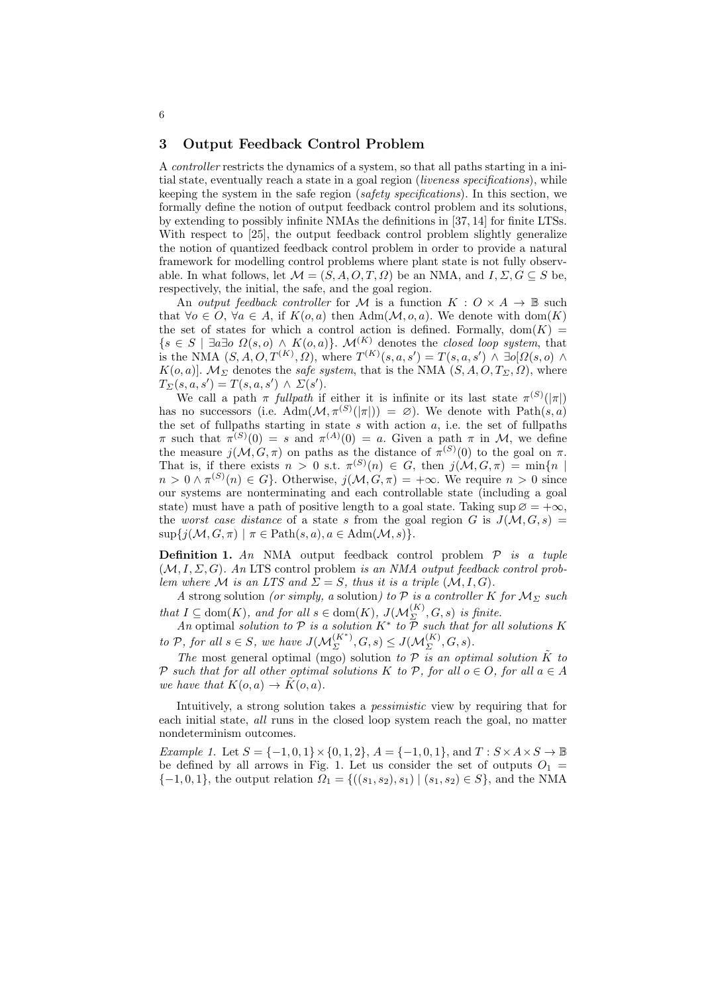# 3 Output Feedback Control Problem

A controller restricts the dynamics of a system, so that all paths starting in a initial state, eventually reach a state in a goal region *(liveness specifications)*, while keeping the system in the safe region (safety specifications). In this section, we formally define the notion of output feedback control problem and its solutions, by extending to possibly infinite NMAs the definitions in [37, 14] for finite LTSs. With respect to [25], the output feedback control problem slightly generalize the notion of quantized feedback control problem in order to provide a natural framework for modelling control problems where plant state is not fully observable. In what follows, let  $\mathcal{M} = (S, A, O, T, \Omega)$  be an NMA, and  $I, \Sigma, G \subseteq S$  be, respectively, the initial, the safe, and the goal region.

An *output feedback controller* for M is a function  $K: O \times A \rightarrow \mathbb{B}$  such that  $\forall o \in O, \forall a \in A$ , if  $K(o, a)$  then  $Adm(M, o, a)$ . We denote with  $dom(K)$ the set of states for which a control action is defined. Formally,  $dom(K)$  =  $\{s \in S \mid \exists a \exists o \; \Omega(s, o) \land K(o, a)\}\$ . M<sup>(K)</sup> denotes the *closed loop system*, that is the NMA  $(S, A, O, T^{(K)}, \Omega)$ , where  $T^{(K)}(s, a, s') = T(s, a, s') \wedge \exists o[\Omega(s, o) \wedge$  $K(o, a)$ .  $\mathcal{M}_{\Sigma}$  denotes the *safe system*, that is the NMA  $(S, A, O, T_{\Sigma}, \Omega)$ , where  $T_{\Sigma}(s,a,s') = T(s,a,s') \, \wedge \, \Sigma(s') .$ 

We call a path  $\pi$  fullpath if either it is infinite or its last state  $\pi^{(S)}(|\pi|)$ has no successors (i.e.  $\text{Adm}(\mathcal{M}, \pi^{(S)}(|\pi|)) = \emptyset$ ). We denote with  $\text{Path}(s, a)$ the set of fullpaths starting in state  $s$  with action  $a$ , i.e. the set of fullpaths  $\pi$  such that  $\pi^{(S)}(0) = s$  and  $\pi^{(A)}(0) = a$ . Given a path  $\pi$  in M, we define the measure  $j(M, G, \pi)$  on paths as the distance of  $\pi^{(S)}(0)$  to the goal on  $\pi$ . That is, if there exists  $n > 0$  s.t.  $\pi^{(S)}(n) \in G$ , then  $j(\mathcal{M}, G, \pi) = \min\{n \mid S$  $n > 0 \wedge \pi^{(S)}(n) \in G$ . Otherwise,  $j(\mathcal{M}, G, \pi) = +\infty$ . We require  $n > 0$  since our systems are nonterminating and each controllable state (including a goal state) must have a path of positive length to a goal state. Taking sup  $\varnothing = +\infty$ , the worst case distance of a state s from the goal region G is  $J(M, G, s)$  $\sup\{j(\mathcal{M}, G, \pi) \mid \pi \in \text{Path}(s, a), a \in \text{Adm}(\mathcal{M}, s)\}.$ 

**Definition 1.** An NMA output feedback control problem  $P$  is a tuple  $(\mathcal{M}, I, \Sigma, G)$ . An LTS control problem is an NMA output feedback control problem where M is an LTS and  $\Sigma = S$ , thus it is a triple  $(\mathcal{M}, I, G)$ .

A strong solution (or simply, a solution) to P is a controller K for  $\mathcal{M}_{\Sigma}$  such that  $I \subseteq \text{dom}(K)$ , and for all  $s \in \text{dom}(K)$ ,  $J(\mathcal{M}_{\Sigma}^{(K)}, G, s)$  is finite.

An optimal solution to P is a solution  $K^*$  to  $\overline{P}$  such that for all solutions K to P, for all  $s \in S$ , we have  $J(\mathcal{M}_{\Sigma}^{(K^*)}, G, s) \leq J(\mathcal{M}_{\Sigma}^{(K)}, G, s)$ .

The most general optimal (mgo) solution to  $P$  is an optimal solution  $\tilde{K}$  to P such that for all other optimal solutions K to P, for all  $o \in O$ , for all  $a \in A$ we have that  $K(o, a) \to K(o, a)$ .

Intuitively, a strong solution takes a *pessimistic* view by requiring that for each initial state, all runs in the closed loop system reach the goal, no matter nondeterminism outcomes.

Example 1. Let  $S = \{-1, 0, 1\} \times \{0, 1, 2\}$ ,  $A = \{-1, 0, 1\}$ , and  $T : S \times A \times S \to \mathbb{B}$ be defined by all arrows in Fig. 1. Let us consider the set of outputs  $O_1$  =  ${-1, 0, 1}$ , the output relation  $\Omega_1 = \{((s_1, s_2), s_1) | (s_1, s_2) \in S\}$ , and the NMA

6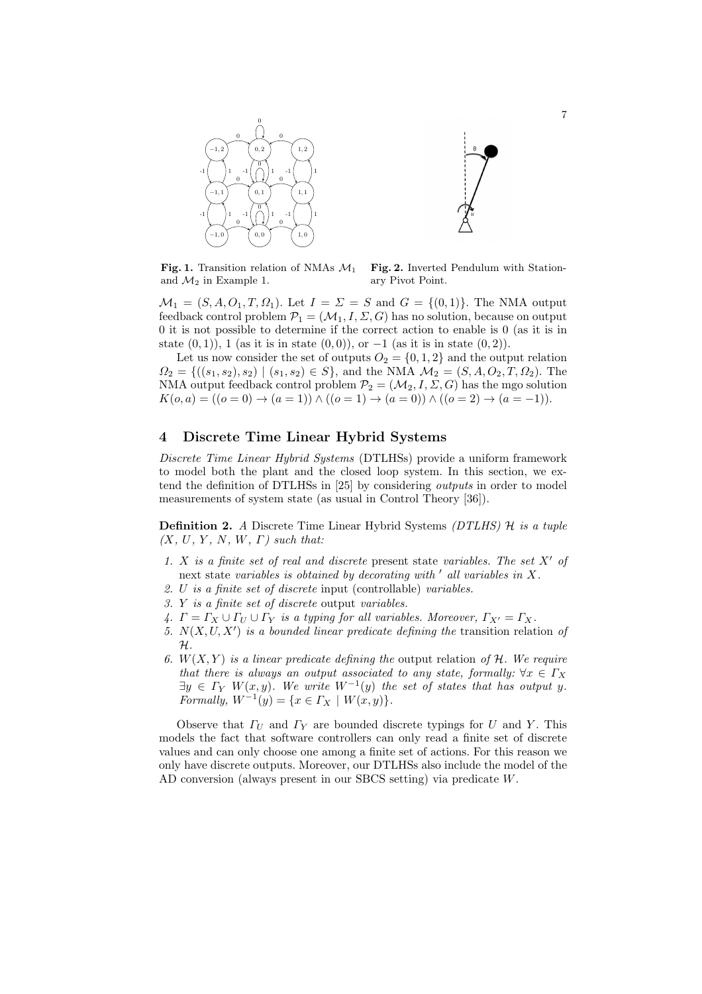



Fig. 1. Transition relation of NMAs  $\mathcal{M}_1$ and  $\mathcal{M}_2$  in Example 1.

Fig. 2. Inverted Pendulum with Stationary Pivot Point.

 $\mathcal{M}_1 = (S, A, O_1, T, \Omega_1)$ . Let  $I = \Sigma = S$  and  $G = \{(0, 1)\}\$ . The NMA output feedback control problem  $\mathcal{P}_1 = (\mathcal{M}_1, I, \Sigma, G)$  has no solution, because on output 0 it is not possible to determine if the correct action to enable is 0 (as it is in state  $(0, 1)$ , 1 (as it is in state  $(0, 0)$ ), or  $-1$  (as it is in state  $(0, 2)$ ).

Let us now consider the set of outputs  $O_2 = \{0, 1, 2\}$  and the output relation  $\Omega_2 = \{((s_1, s_2), s_2) \mid (s_1, s_2) \in S\}$ , and the NMA  $\mathcal{M}_2 = (S, A, O_2, T, \Omega_2)$ . The NMA output feedback control problem  $\mathcal{P}_2 = (\mathcal{M}_2, I, \Sigma, G)$  has the mgo solution  $K(o, a) = ((o = 0) \rightarrow (a = 1)) \land ((o = 1) \rightarrow (a = 0)) \land ((o = 2) \rightarrow (a = -1)).$ 

# 4 Discrete Time Linear Hybrid Systems

Discrete Time Linear Hybrid Systems (DTLHSs) provide a uniform framework to model both the plant and the closed loop system. In this section, we extend the definition of DTLHSs in [25] by considering outputs in order to model measurements of system state (as usual in Control Theory [36]).

**Definition 2.** A Discrete Time Linear Hybrid Systems (DTLHS)  $\mathcal{H}$  is a tuple  $(X, U, Y, N, W, \Gamma)$  such that:

- 1. X is a finite set of real and discrete present state variables. The set  $X'$  of next state variables is obtained by decorating with  $'$  all variables in X.
- 2. U is a finite set of discrete input (controllable) variables.
- 3. Y is a finite set of discrete output variables.
- 4.  $\Gamma = \Gamma_X \cup \Gamma_U \cup \Gamma_Y$  is a typing for all variables. Moreover,  $\Gamma_{X'} = \Gamma_X$ .
- 5.  $N(X, U, X')$  is a bounded linear predicate defining the transition relation of H.
- 6.  $W(X, Y)$  is a linear predicate defining the output relation of H. We require that there is always an output associated to any state, formally:  $\forall x \in \Gamma_X$  $\exists y \in \Gamma_Y \ W(x, y)$ . We write  $W^{-1}(y)$  the set of states that has output y. Formally,  $W^{-1}(y) = \{x \in \Gamma_X \mid W(x, y)\}.$

Observe that  $\Gamma_U$  and  $\Gamma_Y$  are bounded discrete typings for U and Y. This models the fact that software controllers can only read a finite set of discrete values and can only choose one among a finite set of actions. For this reason we only have discrete outputs. Moreover, our DTLHSs also include the model of the AD conversion (always present in our SBCS setting) via predicate W.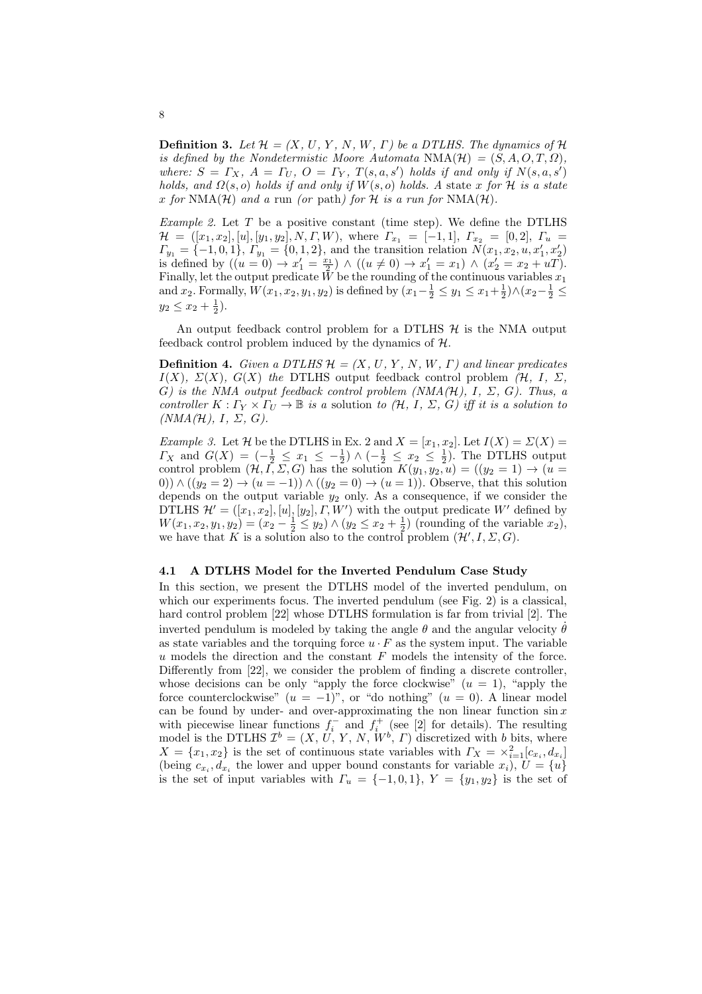**Definition 3.** Let  $\mathcal{H} = (X, U, Y, N, W, \Gamma)$  be a DTLHS. The dynamics of  $\mathcal{H}$ is defined by the Nondetermistic Moore Automata  $NMA(\mathcal{H}) = (S, A, O, T, \Omega)$ , where:  $S = \Gamma_X$ ,  $A = \Gamma_U$ ,  $O = \Gamma_Y$ ,  $T(s, a, s')$  holds if and only if  $N(s, a, s')$ holds, and  $\Omega(s, o)$  holds if and only if  $W(s, o)$  holds. A state x for  $H$  is a state x for  $NMA(\mathcal{H})$  and a run (or path) for  $\mathcal{H}$  is a run for  $NMA(\mathcal{H})$ .

Example 2. Let  $T$  be a positive constant (time step). We define the DTLHS  $\mathcal{H} = ([x_1, x_2], [u], [y_1, y_2], N, \Gamma, W), \text{ where } \Gamma_{x_1} = [-1, 1], \Gamma_{x_2} = [0, 2], \Gamma_u =$  $\Gamma_{y_1} = \{-1, 0, 1\}, \Gamma_{y_1} = \{0, 1, 2\},\$ and the transition relation  $N(x_1, x_2, u, x'_1, x'_2)$ is defined by  $((u = 0) \to x_1' = \frac{x_1}{2}) \land ((u \neq 0) \to x_1' = x_1) \land (x_2' = x_2 + uT)$ . Finally, let the output predicate  $W$  be the rounding of the continuous variables  $x_1$ and  $x_2$ . Formally,  $W(x_1, x_2, y_1, y_2)$  is defined by  $(x_1 - \frac{1}{2} \le y_1 \le x_1 + \frac{1}{2}) \wedge (x_2 - \frac{1}{2} \le$  $y_2 \leq x_2 + \frac{1}{2}$ ).

An output feedback control problem for a DTLHS  $H$  is the NMA output feedback control problem induced by the dynamics of  $H$ .

**Definition 4.** Given a DTLHS  $\mathcal{H} = (X, U, Y, N, W, \Gamma)$  and linear predicates I(X),  $\Sigma(X)$ ,  $G(X)$  the DTLHS output feedback control problem  $(H, I, \Sigma)$ , G) is the NMA output feedback control problem  $(NMA(H), I, \Sigma, G)$ . Thus, a controller  $K: \Gamma_Y \times \Gamma_U \to \mathbb{B}$  is a solution to  $(\mathcal{H}, I, \Sigma, G)$  iff it is a solution to  $(NMA(\mathcal{H}), I, \Sigma, G).$ 

*Example 3.* Let H be the DTLHS in Ex. 2 and  $X = [x_1, x_2]$ . Let  $I(X) = \Sigma(X)$  $\Gamma_X$  and  $G(X) = \left(-\frac{1}{2} \leq x_1 \leq -\frac{1}{2}\right) \wedge \left(-\frac{1}{2} \leq x_2 \leq \frac{1}{2}\right)$ . The DTLHS output control problem  $(\mathcal{H}, I, \Sigma, G)$  has the solution  $K(y_1, y_2, u) = ((y_2 = 1) \rightarrow (u =$ 0))  $\wedge ((y_2 = 2) \rightarrow (u = -1)) \wedge ((y_2 = 0) \rightarrow (u = 1))$ . Observe, that this solution depends on the output variable  $y_2$  only. As a consequence, if we consider the DTLHS  $\mathcal{H}' = ([x_1, x_2], [u], [y_2], \Gamma, W')$  with the output predicate  $W'$  defined by  $W(x_1, x_2, y_1, y_2) = (x_2 - \frac{1}{2} \le y_2) \wedge (y_2 \le x_2 + \frac{1}{2})$  (rounding of the variable  $x_2$ ), we have that K is a solution also to the control problem  $(H', I, \Sigma, G)$ .

#### 4.1 A DTLHS Model for the Inverted Pendulum Case Study

In this section, we present the DTLHS model of the inverted pendulum, on which our experiments focus. The inverted pendulum (see Fig. 2) is a classical, hard control problem [22] whose DTLHS formulation is far from trivial [2]. The inverted pendulum is modeled by taking the angle  $\theta$  and the angular velocity  $\dot{\theta}$ as state variables and the torquing force  $u \cdot F$  as the system input. The variable  $u$  models the direction and the constant  $F$  models the intensity of the force. Differently from [22], we consider the problem of finding a discrete controller, whose decisions can be only "apply the force clockwise"  $(u = 1)$ , "apply the force counterclockwise"  $(u = -1)$ ", or "do nothing"  $(u = 0)$ . A linear model can be found by under- and over-approximating the non-linear function  $\sin x$ with piecewise linear functions  $f_i^-$  and  $f_i^+$  (see [2] for details). The resulting model is the DTLHS  $\mathcal{I}^b = (X, U, Y, N, W^b, \Gamma)$  discretized with b bits, where  $X = \{x_1, x_2\}$  is the set of continuous state variables with  $\Gamma_X = \times_{i=1}^2 [c_{x_i}, d_{x_i}]$ (being  $c_{x_i}, d_{x_i}$  the lower and upper bound constants for variable  $x_i$ ),  $U = \{u\}$ is the set of input variables with  $\Gamma_u = \{-1, 0, 1\}, Y = \{y_1, y_2\}$  is the set of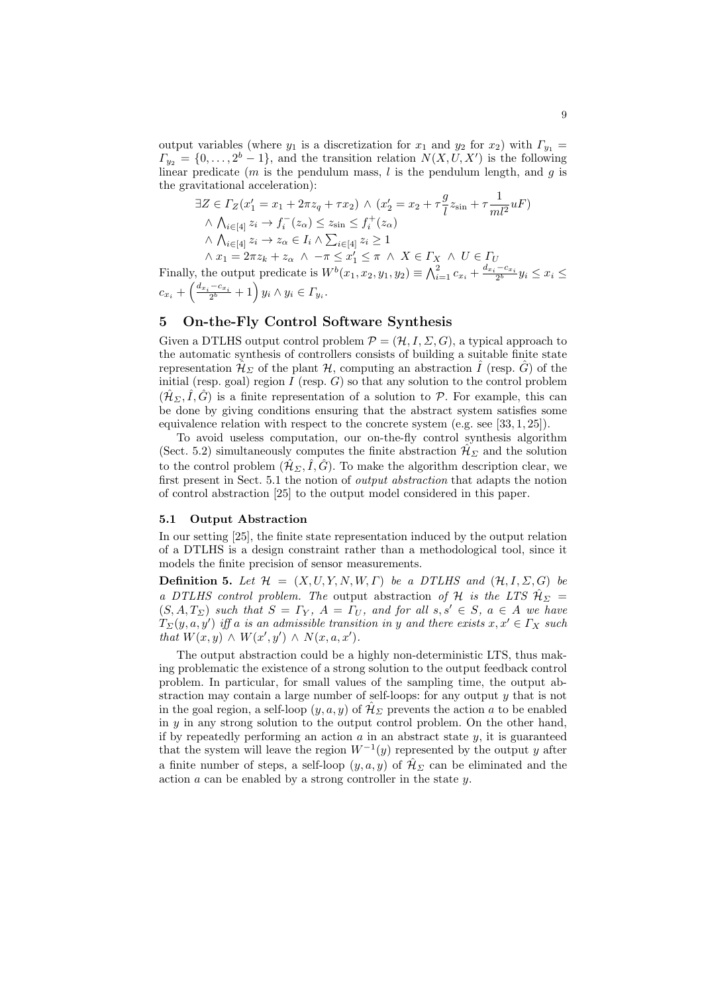output variables (where  $y_1$  is a discretization for  $x_1$  and  $y_2$  for  $x_2$ ) with  $\Gamma_{y_1}$  =  $\Gamma_{y_2} = \{0, \ldots, 2^b - 1\}$ , and the transition relation  $N(X, U, X')$  is the following linear predicate ( $m$  is the pendulum mass,  $l$  is the pendulum length, and  $g$  is the gravitational acceleration):

$$
\exists Z \in \Gamma_Z(x'_1 = x_1 + 2\pi z_q + \tau x_2) \land (x'_2 = x_2 + \tau \frac{g}{l} z_{\sin} + \tau \frac{1}{ml^2} uF)
$$
  

$$
\land \bigwedge_{i \in [4]} z_i \to f_i^-(z_\alpha) \le z_{\sin} \le f_i^+(z_\alpha)
$$
  

$$
\land \bigwedge_{i \in [4]} z_i \to z_\alpha \in I_i \land \sum_{i \in [4]} z_i \ge 1
$$
  

$$
\land x_1 = 2\pi z_k + z_\alpha \land -\pi \le x'_1 \le \pi \land X \in \Gamma_X \land U \in \Gamma_U
$$

Finally, the output predicate is  $W^b(x_1, x_2, y_1, y_2) \equiv \bigwedge_{i=1}^2 c_{x_i} + \frac{d_{x_i} - c_{x_i}}{2^b}$  $\frac{-c_{x_i}}{2^b}y_i \leq x_i \leq$  $c_{x_i} + \left(\frac{d_{x_i} - c_{x_i}}{2^b}\right)$  $\frac{-c_{x_i}}{2^b}+1\Big)\,y_i\wedge y_i\in\varGamma_{y_i}.$ 

# 5 On-the-Fly Control Software Synthesis

Given a DTLHS output control problem  $\mathcal{P} = (\mathcal{H}, I, \Sigma, G)$ , a typical approach to the automatic synthesis of controllers consists of building a suitable finite state representation  $\mathcal{H}_{\Sigma}$  of the plant H, computing an abstraction  $\hat{I}$  (resp.  $\hat{G}$ ) of the initial (resp. goal) region  $I$  (resp.  $G$ ) so that any solution to the control problem  $(\hat{\mathcal{H}}_{\Sigma}, \hat{I}, \hat{G})$  is a finite representation of a solution to  $\mathcal{P}$ . For example, this can be done by giving conditions ensuring that the abstract system satisfies some equivalence relation with respect to the concrete system (e.g. see [33, 1, 25]).

To avoid useless computation, our on-the-fly control synthesis algorithm (Sect. 5.2) simultaneously computes the finite abstraction  $\mathcal{H}_{\Sigma}$  and the solution to the control problem  $(\hat{\mathcal{H}}_{\Sigma}, \hat{I}, \hat{G})$ . To make the algorithm description clear, we first present in Sect. 5.1 the notion of output abstraction that adapts the notion of control abstraction [25] to the output model considered in this paper.

#### 5.1 Output Abstraction

In our setting [25], the finite state representation induced by the output relation of a DTLHS is a design constraint rather than a methodological tool, since it models the finite precision of sensor measurements.

**Definition 5.** Let  $\mathcal{H} = (X, U, Y, N, W, \Gamma)$  be a DTLHS and  $(\mathcal{H}, I, \Sigma, G)$  be a DTLHS control problem. The output abstraction of H is the LTS  $\hat{\mathcal{H}}_{\Sigma}$  =  $(S, A, T_{\Sigma})$  such that  $S = \Gamma_Y$ ,  $A = \Gamma_U$ , and for all  $s, s' \in S$ ,  $a \in A$  we have  $\hat{T}_\Sigma(y,a,y')$  iff a is an admissible transition in y and there exists  $x,x'\in\varGamma_X$  such that  $W(x, y) \wedge W(x', y') \wedge N(x, a, x')$ .

The output abstraction could be a highly non-deterministic LTS, thus making problematic the existence of a strong solution to the output feedback control problem. In particular, for small values of the sampling time, the output abstraction may contain a large number of self-loops: for any output  $y$  that is not in the goal region, a self-loop  $(y, a, y)$  of  $\mathcal{H}_{\Sigma}$  prevents the action a to be enabled in  $y$  in any strong solution to the output control problem. On the other hand, if by repeatedly performing an action  $a$  in an abstract state  $y$ , it is guaranteed that the system will leave the region  $W^{-1}(y)$  represented by the output y after a finite number of steps, a self-loop  $(y, a, y)$  of  $\mathcal{H}_{\Sigma}$  can be eliminated and the action  $a$  can be enabled by a strong controller in the state  $y$ .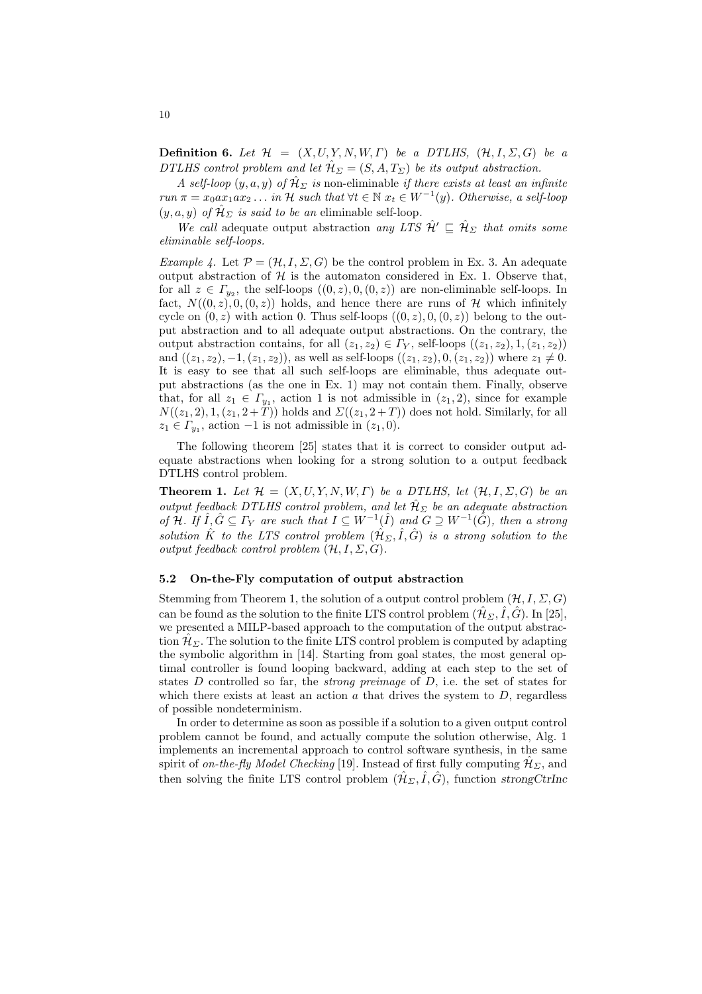**Definition 6.** Let  $\mathcal{H} = (X, U, Y, N, W, \Gamma)$  be a DTLHS,  $(\mathcal{H}, I, \Sigma, G)$  be a DTLHS control problem and let  $\mathcal{H}_{\Sigma} = (S, A, T_{\Sigma})$  be its output abstraction.

A self-loop  $(y, a, y)$  of  $\mathcal{H}_{\Sigma}$  is non-eliminable if there exists at least an infinite run  $\pi = x_0 x_1 a x_2 \dots$  in  $\mathcal H$  such that  $\forall t \in \mathbb N$   $x_t \in W^{-1}(y)$ . Otherwise, a self-loop  $(y, a, y)$  of  $\mathcal{H}_{\Sigma}$  is said to be an eliminable self-loop.

We call adequate output abstraction any LTS  $\hat{\mathcal{H}}' \subseteq \hat{\mathcal{H}}_{\Sigma}$  that omits some eliminable self-loops.

Example 4. Let  $\mathcal{P} = (\mathcal{H}, I, \Sigma, G)$  be the control problem in Ex. 3. An adequate output abstraction of  $H$  is the automaton considered in Ex. 1. Observe that, for all  $z \in \Gamma_{y_2}$ , the self-loops  $((0, z), 0, (0, z))$  are non-eliminable self-loops. In fact,  $N((0, z), 0, (0, z))$  holds, and hence there are runs of H which infinitely cycle on  $(0, z)$  with action 0. Thus self-loops  $((0, z), 0, (0, z))$  belong to the output abstraction and to all adequate output abstractions. On the contrary, the output abstraction contains, for all  $(z_1, z_2) \in \Gamma_Y$ , self-loops  $((z_1, z_2), 1, (z_1, z_2))$ and  $((z_1, z_2), -1, (z_1, z_2))$ , as well as self-loops  $((z_1, z_2), 0, (z_1, z_2))$  where  $z_1 \neq 0$ . It is easy to see that all such self-loops are eliminable, thus adequate output abstractions (as the one in Ex. 1) may not contain them. Finally, observe that, for all  $z_1 \in \Gamma_{y_1}$ , action 1 is not admissible in  $(z_1, 2)$ , since for example  $N((z_1, 2), 1, (z_1, 2+T))$  holds and  $\Sigma((z_1, 2+T))$  does not hold. Similarly, for all  $z_1 \in \Gamma_{y_1}$ , action  $-1$  is not admissible in  $(z_1, 0)$ .

The following theorem [25] states that it is correct to consider output adequate abstractions when looking for a strong solution to a output feedback DTLHS control problem.

**Theorem 1.** Let  $\mathcal{H} = (X, U, Y, N, W, \Gamma)$  be a DTLHS, let  $(\mathcal{H}, I, \Sigma, G)$  be an output feedback DTLHS control problem, and let  $\mathcal{H}_{\Sigma}$  be an adequate abstraction of H. If  $\hat{I}, \hat{G} \subseteq \Gamma_Y$  are such that  $I \subseteq W^{-1}(\hat{I})$  and  $G \supseteq W^{-1}(\tilde{G})$ , then a strong solution  $\hat{K}$  to the LTS control problem  $(\hat{\mathcal{H}}_{\Sigma}, \hat{I}, \hat{G})$  is a strong solution to the output feedback control problem  $(\mathcal{H}, I, \Sigma, G)$ .

#### 5.2 On-the-Fly computation of output abstraction

Stemming from Theorem 1, the solution of a output control problem  $(\mathcal{H}, I, \Sigma, G)$ can be found as the solution to the finite LTS control problem  $(\hat{H}_{\Sigma}, \hat{I}, \hat{G})$ . In [25], we presented a MILP-based approach to the computation of the output abstraction  $\mathcal{H}_{\Sigma}$ . The solution to the finite LTS control problem is computed by adapting the symbolic algorithm in [14]. Starting from goal states, the most general optimal controller is found looping backward, adding at each step to the set of states D controlled so far, the *strong preimage* of  $D$ , i.e. the set of states for which there exists at least an action  $a$  that drives the system to  $D$ , regardless of possible nondeterminism.

In order to determine as soon as possible if a solution to a given output control problem cannot be found, and actually compute the solution otherwise, Alg. 1 implements an incremental approach to control software synthesis, in the same spirit of on-the-fly Model Checking [19]. Instead of first fully computing  $\hat{\mathcal{H}}_{\Sigma}$ , and then solving the finite LTS control problem  $(\hat{H}_{\Sigma}, \hat{I}, \hat{G})$ , function strongCtrInc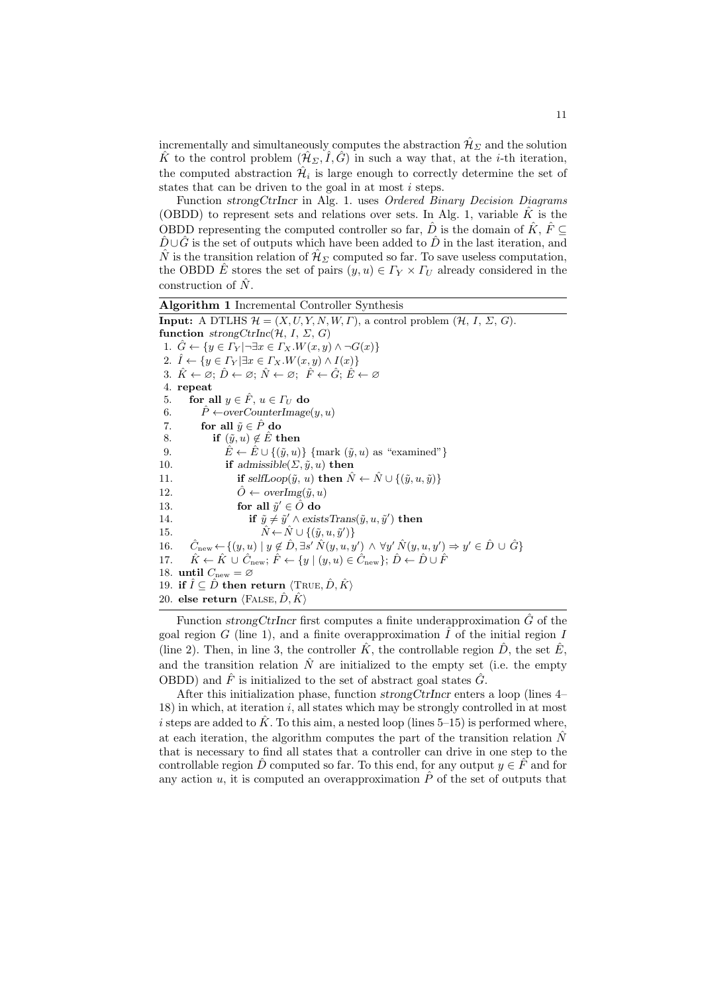incrementally and simultaneously computes the abstraction  $\mathcal{H}_{\Sigma}$  and the solution  $\hat{K}$  to the control problem  $(\hat{\mathcal{H}}_{\Sigma}, \hat{I}, \hat{G})$  in such a way that, at the *i*-th iteration, the computed abstraction  $\hat{\mathcal{H}}_i$  is large enough to correctly determine the set of states that can be driven to the goal in at most  $i$  steps.

Function strongCtrIncr in Alg. 1. uses Ordered Binary Decision Diagrams (OBDD) to represent sets and relations over sets. In Alg. 1, variable  $\tilde{K}$  is the OBDD representing the computed controller so far,  $\hat{D}$  is the domain of  $\hat{K}$ ,  $\hat{F} \subseteq$  $\hat{D} \cup \hat{G}$  is the set of outputs which have been added to  $\hat{D}$  in the last iteration, and N is the transition relation of  $\mathcal{H}_{\Sigma}$  computed so far. To save useless computation, the OBDD E<sup> $E$ </sup> stores the set of pairs  $(y, u) \in \Gamma_Y \times \Gamma_U$  already considered in the construction of  $\hat{N}$ .

Algorithm 1 Incremental Controller Synthesis

**Input:** A DTLHS  $\mathcal{H} = (X, U, Y, N, W, \Gamma)$ , a control problem  $(\mathcal{H}, I, \Sigma, G)$ . function  $strongCtrlnc(\mathcal{H}, I, \Sigma, G)$ 1.  $\ddot{G} \leftarrow \{y \in \Gamma_Y | \neg \exists x \in \Gamma_X . W(x, y) \land \neg G(x)\}\$ 2.  $\hat{I} \leftarrow \{y \in \Gamma_Y | \exists x \in \Gamma_X . W(x, y) \wedge I(x) \}$ 3.  $\hat{K} \leftarrow \varnothing; \hat{D} \leftarrow \varnothing; \hat{N} \leftarrow \varnothing; \hat{F} \leftarrow \hat{G}; \hat{E} \leftarrow \varnothing$ 4. repeat 5. for all  $y \in \hat{F}$ ,  $u \in \Gamma_U$  do 6.  $\dot{P} \leftarrow overCounterImage(y, u)$ 7. for all  $\tilde{y} \in \hat{P}$  do 8. if  $(\tilde{y}, u) \notin \hat{E}$  then 9.  $\hat{E} \leftarrow \hat{E} \cup \{(\tilde{y}, u)\}$  {mark  $(\tilde{y}, u)$  as "examined"} 10. **if** admissible $(\Sigma, \tilde{y}, u)$  **then** 11. **if** selfLoop( $\tilde{y}$ , u) then  $\tilde{N} \leftarrow \tilde{N} \cup \{(\tilde{y}, u, \tilde{y})\}$ 12.  $\hat{O} \leftarrow \text{overImg}(\tilde{y}, u)$ 13. for all  $\tilde{y}' \in \hat{O}$  do 14. **if**  $\tilde{y} \neq \tilde{y}' \wedge \text{existsTrans}(\tilde{y}, u, \tilde{y}')$  then 15.  $\hat{N} \leftarrow \hat{N} \cup \{(\tilde{y}, u, \tilde{y}')\}$ 16.  $\hat{C}_{\text{new}} \leftarrow \{(y, u) \mid y \notin \hat{D}, \exists s' \hat{N}(y, u, y') \land \forall y' \hat{N}(y, u, y') \Rightarrow y' \in \hat{D} \cup \hat{G}\}\$ 17.  $\hat{K} \leftarrow \hat{K} \cup \hat{C}_{\text{new}}; \hat{F} \leftarrow \{y \mid (y, u) \in \hat{C}_{\text{new}}\}; \hat{D} \leftarrow \hat{D} \cup \hat{F}$ 18. until  $C_{\text{new}} = \varnothing$ 19. if  $\hat{I} \subseteq \hat{D}$  then return  $\langle \text{TRUE}, \hat{D}, \hat{K} \rangle$ 20. else return  $\langle$ FALSE,  $\hat{D}, \hat{K} \rangle$ 

Function strongCtrIncr first computes a finite underapproximation  $\tilde{G}$  of the goal region G (line 1), and a finite overapproximation  $\hat{I}$  of the initial region I (line 2). Then, in line 3, the controller  $\tilde{K}$ , the controllable region  $\tilde{D}$ , the set  $\tilde{E}$ , and the transition relation  $\hat{N}$  are initialized to the empty set (i.e. the empty OBDD) and  $\hat{F}$  is initialized to the set of abstract goal states  $\hat{G}$ .

After this initialization phase, function strongCtrIncr enters a loop (lines 4–  $18$ ) in which, at iteration i, all states which may be strongly controlled in at most i steps are added to  $\hat{K}$ . To this aim, a nested loop (lines 5–15) is performed where, at each iteration, the algorithm computes the part of the transition relation  $\hat{N}$ that is necessary to find all states that a controller can drive in one step to the controllable region  $\hat{D}$  computed so far. To this end, for any output  $y \in \hat{F}$  and for any action u, it is computed an overapproximation  $\hat{P}$  of the set of outputs that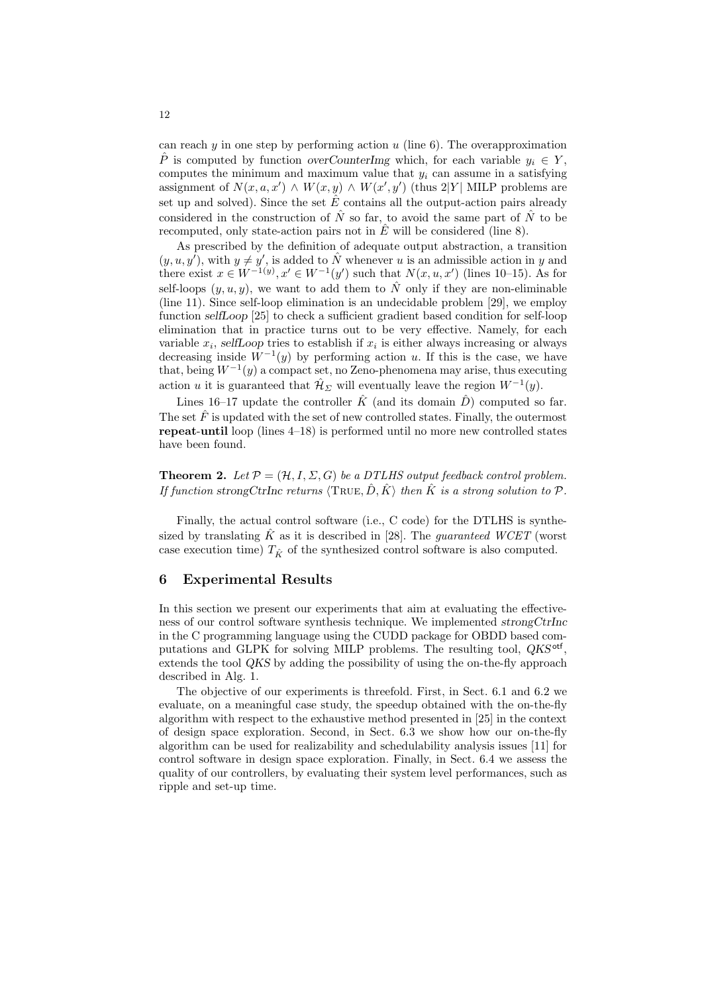can reach y in one step by performing action  $u$  (line 6). The overapproximation P is computed by function overCounterImg which, for each variable  $y_i \in Y$ , computes the minimum and maximum value that  $y_i$  can assume in a satisfying assignment of  $N(x, a, x') \wedge W(x, y) \wedge W(x', y')$  (thus 2|Y| MILP problems are set up and solved). Since the set  $\hat{E}$  contains all the output-action pairs already considered in the construction of  $\hat{N}$  so far, to avoid the same part of  $\hat{N}$  to be recomputed, only state-action pairs not in  $\hat{E}$  will be considered (line 8).

As prescribed by the definition of adequate output abstraction, a transition  $(y, u, y')$ , with  $y \neq y'$ , is added to  $\hat{N}$  whenever u is an admissible action in y and there exist  $x \in W^{-1}(y), x' \in W^{-1}(y')$  such that  $N(x, u, x')$  (lines 10–15). As for self-loops  $(y, u, y)$ , we want to add them to  $\hat{N}$  only if they are non-eliminable (line 11). Since self-loop elimination is an undecidable problem [29], we employ function selfLoop [25] to check a sufficient gradient based condition for self-loop elimination that in practice turns out to be very effective. Namely, for each variable  $x_i$ , selfLoop tries to establish if  $x_i$  is either always increasing or always decreasing inside  $W^{-1}(y)$  by performing action u. If this is the case, we have that, being  $W^{-1}(y)$  a compact set, no Zeno-phenomena may arise, thus executing action u it is guaranteed that  $\hat{\mathcal{H}}_{\Sigma}$  will eventually leave the region  $W^{-1}(y)$ .

Lines 16–17 update the controller  $\hat{K}$  (and its domain  $\hat{D}$ ) computed so far. The set  $\tilde{F}$  is updated with the set of new controlled states. Finally, the outermost repeat-until loop (lines 4–18) is performed until no more new controlled states have been found.

**Theorem 2.** Let  $P = (\mathcal{H}, I, \Sigma, G)$  be a DTLHS output feedback control problem. If function strong CtrInc returns  $\langle \text{TRUE}, \hat{D}, \hat{K} \rangle$  then  $\hat{K}$  is a strong solution to P.

Finally, the actual control software (i.e., C code) for the DTLHS is synthesized by translating  $\hat{K}$  as it is described in [28]. The *guaranteed WCET* (worst case execution time)  $T_{\hat{K}}$  of the synthesized control software is also computed.

# 6 Experimental Results

In this section we present our experiments that aim at evaluating the effectiveness of our control software synthesis technique. We implemented strongCtrInc in the C programming language using the CUDD package for OBDD based computations and GLPK for solving MILP problems. The resulting tool,  $QKS<sup>off</sup>$ , extends the tool QKS by adding the possibility of using the on-the-fly approach described in Alg. 1.

The objective of our experiments is threefold. First, in Sect. 6.1 and 6.2 we evaluate, on a meaningful case study, the speedup obtained with the on-the-fly algorithm with respect to the exhaustive method presented in [25] in the context of design space exploration. Second, in Sect. 6.3 we show how our on-the-fly algorithm can be used for realizability and schedulability analysis issues [11] for control software in design space exploration. Finally, in Sect. 6.4 we assess the quality of our controllers, by evaluating their system level performances, such as ripple and set-up time.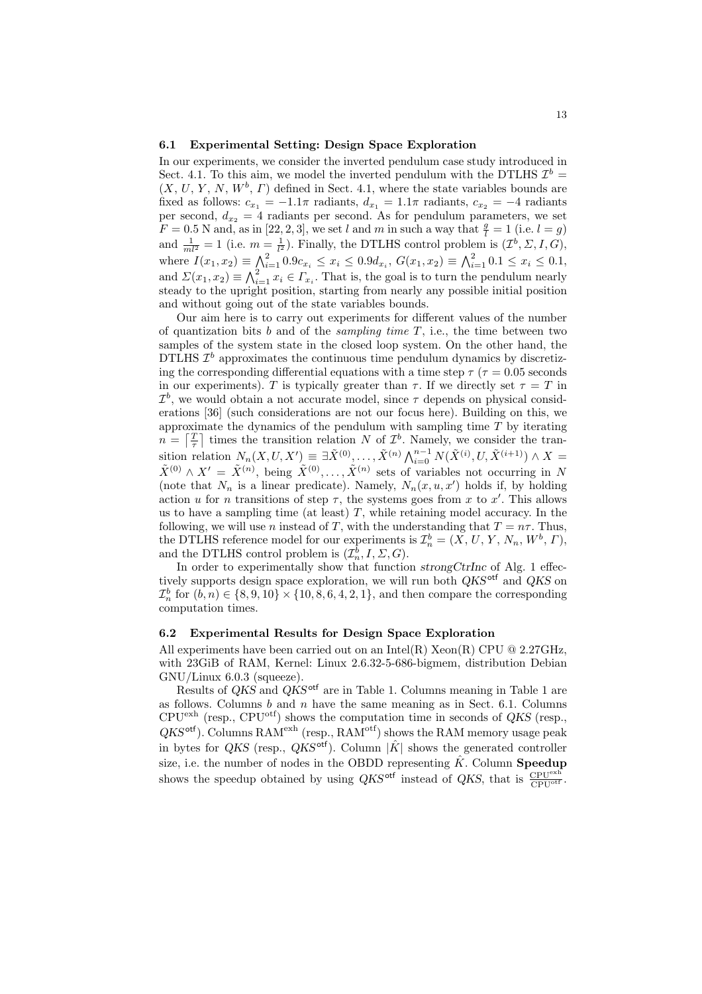#### 6.1 Experimental Setting: Design Space Exploration

In our experiments, we consider the inverted pendulum case study introduced in Sect. 4.1. To this aim, we model the inverted pendulum with the DTLHS  $\mathcal{I}^b$  =  $(X, U, Y, N, W<sup>b</sup>, \Gamma)$  defined in Sect. 4.1, where the state variables bounds are fixed as follows:  $c_{x_1} = -1.1\pi$  radiants,  $d_{x_1} = 1.1\pi$  radiants,  $c_{x_2} = -4$  radiants per second,  $d_{x_2} = 4$  radiants per second. As for pendulum parameters, we set  $F = 0.5$  N and, as in [22, 2, 3], we set l and m in such a way that  $\frac{g}{l} = 1$  (i.e.  $l = g$ ) and  $\frac{1}{ml^2} = 1$  (i.e.  $m = \frac{1}{l^2}$ ). Finally, the DTLHS control problem is  $(\mathcal{I}^b, \mathcal{Z}, I, G)$ , where  $I(x_1, x_2) \equiv \bigwedge_{i=1}^2 0.9c_{x_i} \le x_i \le 0.9d_{x_i}$ ,  $G(x_1, x_2) \equiv \bigwedge_{i=1}^2 0.1 \le x_i \le 0.1$ , and  $\Sigma(x_1, x_2) \equiv \bigwedge_{i=1}^2 x_i \in \Gamma_{x_i}$ . That is, the goal is to turn the pendulum nearly steady to the upright position, starting from nearly any possible initial position and without going out of the state variables bounds.

Our aim here is to carry out experiments for different values of the number of quantization bits b and of the *sampling time T*, i.e., the time between two samples of the system state in the closed loop system. On the other hand, the DTLHS  $\mathcal{I}^b$  approximates the continuous time pendulum dynamics by discretizing the corresponding differential equations with a time step  $\tau$  ( $\tau = 0.05$  seconds in our experiments). T is typically greater than  $\tau$ . If we directly set  $\tau = T$  in  $\mathcal{I}^b$ , we would obtain a not accurate model, since  $\tau$  depends on physical considerations [36] (such considerations are not our focus here). Building on this, we approximate the dynamics of the pendulum with sampling time  $T$  by iterating  $n = \left\lfloor \frac{T}{\tau} \right\rfloor$  times the transition relation N of  $\mathcal{I}^b$ . Namely, we consider the transition relation  $N_n(X, U, X') \equiv \exists \tilde{X}^{(0)}, \dots, \tilde{X}^{(n)} \bigwedge_{i=0}^{n-1} N(\tilde{X}^{(i)}, U, \tilde{X}^{(i+1)}) \wedge X =$  $\tilde{X}^{(0)} \wedge X' = \tilde{X}^{(n)}$ , being  $\tilde{X}^{(0)}, \ldots, \tilde{X}^{(n)}$  sets of variables not occurring in N (note that  $N_n$  is a linear predicate). Namely,  $N_n(x, u, x')$  holds if, by holding action u for n transitions of step  $\tau$ , the systems goes from x to x'. This allows us to have a sampling time (at least)  $T$ , while retaining model accuracy. In the following, we will use *n* instead of *T*, with the understanding that  $T = n\tau$ . Thus, the DTLHS reference model for our experiments is  $\mathcal{I}_n^b = (X, U, Y, N_n, W^b, \Gamma)$ , and the DTLHS control problem is  $(\mathcal{I}_n^b, I, \Sigma, G)$ .

In order to experimentally show that function strongCtrInc of Alg. 1 effectively supports design space exploration, we will run both  $QKS^{\text{off}}$  and  $QKS$  on  $\mathcal{I}_n^b$  for  $(b, n) \in \{8, 9, 10\} \times \{10, 8, 6, 4, 2, 1\}$ , and then compare the corresponding computation times.

#### 6.2 Experimental Results for Design Space Exploration

All experiments have been carried out on an Intel(R)  $Xeon(R)$  CPU  $@ 2.27GHz$ . with 23GiB of RAM, Kernel: Linux 2.6.32-5-686-bigmem, distribution Debian GNU/Linux 6.0.3 (squeeze).

Results of  $QKS$  and  $QKS$ <sup>otf</sup> are in Table 1. Columns meaning in Table 1 are as follows. Columns  $b$  and  $n$  have the same meaning as in Sect. 6.1. Columns  $CPU<sup>exh</sup>$  (resp.,  $CPU<sup>off</sup>$ ) shows the computation time in seconds of  $QKS$  (resp., QKS<sup>otf</sup>). Columns RAM<sup>exh</sup> (resp., RAM<sup>otf</sup>) shows the RAM memory usage peak in bytes for QKS (resp.,  $\overline{QKS}$ <sup>otf</sup>). Column  $|\hat{K}|$  shows the generated controller size, i.e. the number of nodes in the OBDD representing  $\hat{K}$ . Column **Speedup** shows the speedup obtained by using  $QKS^{\text{off}}$  instead of  $QKS$ , that is  $\frac{\text{CPU}^{\text{exh}}}{\text{CPU}^{\text{off}}}$ .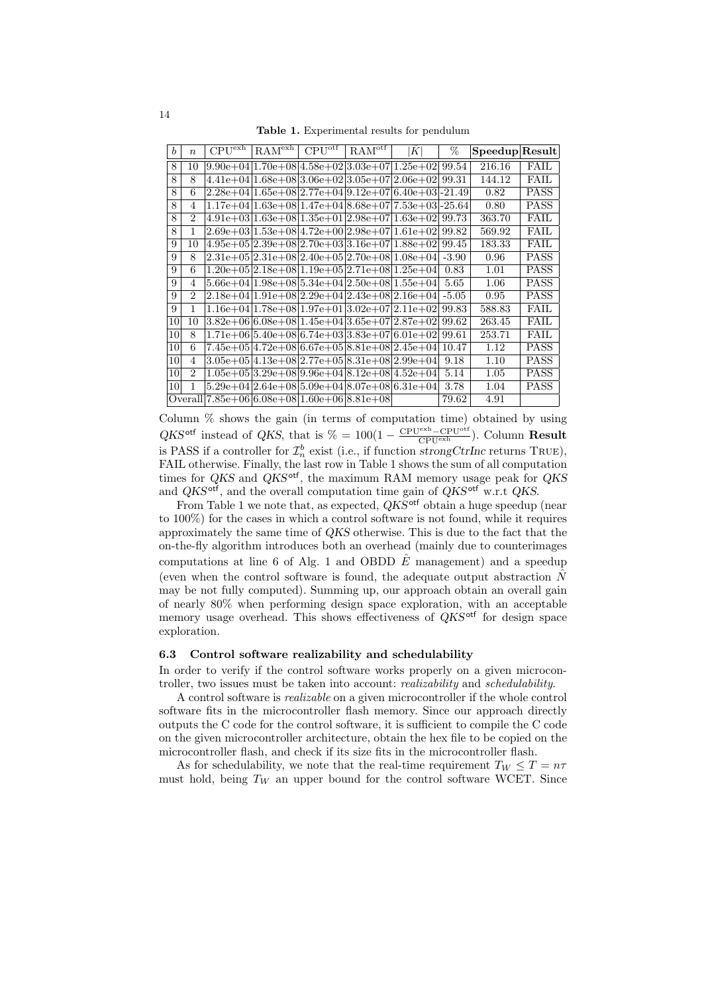Table 1. Experimental results for pendulum

| $\boldsymbol{b}$ | $\boldsymbol{n}$ | $\mathrm{CPU}^{\mathrm{exh}}$               | RAM <sup>exh</sup> | $CPU^{off}$ | RAM <sup>off</sup> | $K \$                                                 | %       | Speedup Result |             |
|------------------|------------------|---------------------------------------------|--------------------|-------------|--------------------|-------------------------------------------------------|---------|----------------|-------------|
| 8                | 10               |                                             |                    |             |                    | $9.90e+04 1.70e+08 4.58e+02 3.03e+07 1.25e+02 $       | 99.54   | 216.16         | FAIL        |
| 8                | 8                |                                             |                    |             |                    | $4.41e+04 1.68e+08 3.06e+02 3.05e+07 2.06e+02 $       | 99.31   | 144.12         | FAIL        |
| 8                | 6                |                                             |                    |             |                    | $2.28e+04 1.65e+08 2.77e+04 9.12e+07 6.40e+03 -21.49$ |         | 0.82           | <b>PASS</b> |
| 8                | 4                |                                             |                    |             |                    | $1.17e+04 1.63e+08 1.47e+04 8.68e+07 7.53e+03 25.64$  |         | 0.80           | <b>PASS</b> |
| 8                | $\mathfrak{D}$   |                                             |                    |             |                    | $4.91e+03 1.63e+08 1.35e+01 2.98e+07 1.63e+02 $       | 99.73   | 363.70         | FAIL        |
| 8                | 1                |                                             |                    |             |                    | $2.69e+03 1.53e+08 4.72e+00 2.98e+07 1.61e+02 $       | 99.82   | 569.92         | FAIL        |
| 9                | 10               |                                             |                    |             |                    | $4.95e+05 2.39e+08 2.70e+03 3.16e+07 1.88e+02 $       | 99.45   | 183.33         | FAIL        |
| 9                | 8                |                                             |                    |             |                    | $2.31e+05 2.31e+08 2.40e+05 2.70e+08 1.08e+04 $       | $-3.90$ | 0.96           | <b>PASS</b> |
| 9                | 6                |                                             |                    |             |                    | $1.20e+05 2.18e+08 1.19e+05 2.71e+08 1.25e+04 $       | 0.83    | 1.01           | <b>PASS</b> |
| 9                | 4                |                                             |                    |             |                    | $5.66e+04 1.98e+08 5.34e+04 2.50e+08 1.55e+04 $       | 5.65    | 1.06           | <b>PASS</b> |
| 9                | $\overline{2}$   |                                             |                    |             |                    | $2.18e+04 1.91e+08 2.29e+04 2.43e+08 2.16e+04 $       | $-5.05$ | 0.95           | PASS        |
| 9                | 1                |                                             |                    |             |                    | $1.16e+04 1.78e+08 1.97e+01 3.02e+07 2.11e+02 $       | 99.83   | 588.83         | FAIL        |
| 10               | 10               |                                             |                    |             |                    | $3.82e+06 6.08e+08 1.45e+04 3.65e+07 2.87e+02 $       | 99.62   | 263.45         | FAIL        |
| 10               | 8                |                                             |                    |             |                    | $1.71e+06 5.40e+08 6.74e+03 3.83e+07 6.01e+02 $       | 99.61   | 253.71         | FAIL        |
| 10               | 6                |                                             |                    |             |                    | 7.45e+05 4.72e+08 6.67e+05 8.81e+08 2.45e+04          | 10.47   | 1.12           | <b>PASS</b> |
| 10               | 4                |                                             |                    |             |                    | $3.05e+05 4.13e+08 2.77e+05 8.31e+08 2.99e+04$        | 9.18    | 1.10           | <b>PASS</b> |
| 10               | $\overline{2}$   |                                             |                    |             |                    | $1.05e+05 3.29e+08 9.96e+04 8.12e+08 4.52e+04 $       | 5.14    | 1.05           | <b>PASS</b> |
| 10               | 1                |                                             |                    |             |                    | $5.29e+04 2.64e+08 5.09e+04 8.07e+08 6.31e+04 $       | 3.78    | 1.04           | <b>PASS</b> |
|                  |                  | Overall 7.85e+06 6.08e+08 1.60e+06 8.81e+08 |                    |             |                    |                                                       | 79.62   | 4.91           |             |

Column % shows the gain (in terms of computation time) obtained by using  $QKS^{\text{off}}$  instead of  $QKS$ , that is  $% = 100(1 - \frac{CPU^{\text{ext}} - CPU^{\text{off}}}{CPU^{\text{ext}}})$ . Column **Result** is PASS if a controller for  $\mathcal{I}_n^b$  exist (i.e., if function strongCtrInc returns TRUE), FAIL otherwise. Finally, the last row in Table 1 shows the sum of all computation times for  $QKS$  and  $QKS$ <sup>otf</sup>, the maximum RAM memory usage peak for  $QKS$ and  $QKS^{\text{off}}$ , and the overall computation time gain of  $QKS^{\text{off}}$  w.r.t  $QKS$ .

From Table 1 we note that, as expected,  $QK\widetilde{S}^{\text{off}}$  obtain a huge speedup (near to 100%) for the cases in which a control software is not found, while it requires approximately the same time of QKS otherwise. This is due to the fact that the on-the-fly algorithm introduces both an overhead (mainly due to counterimages computations at line 6 of Alg. 1 and OBDD  $\hat{E}$  management) and a speedup (even when the control software is found, the adequate output abstraction  $\hat{N}$ may be not fully computed). Summing up, our approach obtain an overall gain of nearly 80% when performing design space exploration, with an acceptable memory usage overhead. This shows effectiveness of  $QKS^{\text{off}}$  for design space exploration.

#### 6.3 Control software realizability and schedulability

In order to verify if the control software works properly on a given microcontroller, two issues must be taken into account: *realizability* and *schedulability*.

A control software is realizable on a given microcontroller if the whole control software fits in the microcontroller flash memory. Since our approach directly outputs the C code for the control software, it is sufficient to compile the C code on the given microcontroller architecture, obtain the hex file to be copied on the microcontroller flash, and check if its size fits in the microcontroller flash.

As for schedulability, we note that the real-time requirement  $T_W \leq T = n\tau$ must hold, being  $T_W$  an upper bound for the control software WCET. Since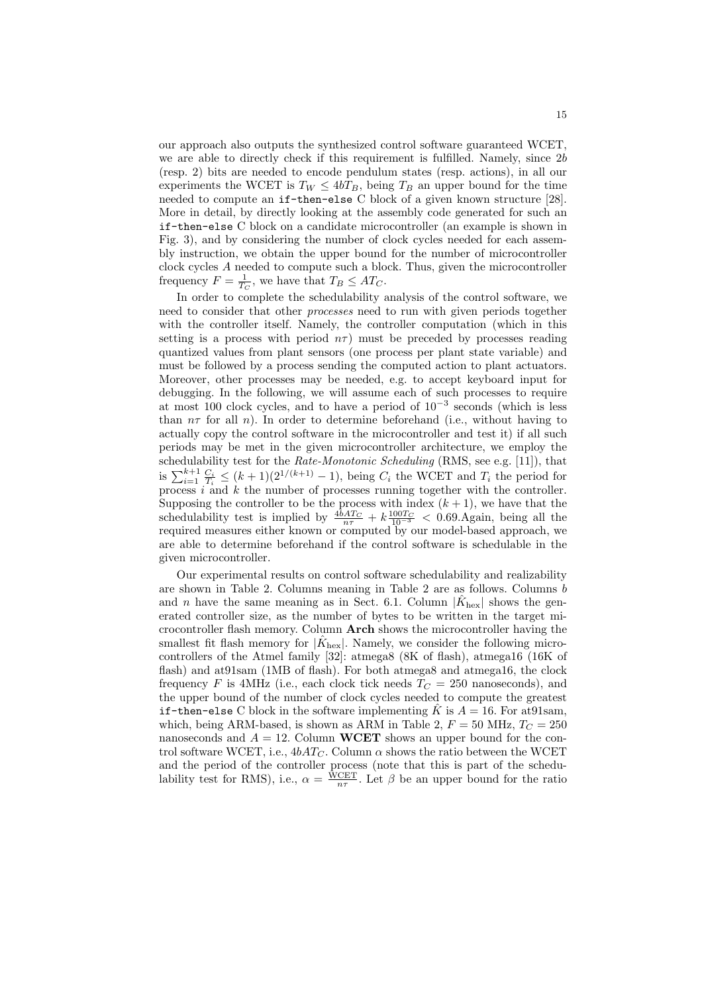our approach also outputs the synthesized control software guaranteed WCET, we are able to directly check if this requirement is fulfilled. Namely, since 2b (resp. 2) bits are needed to encode pendulum states (resp. actions), in all our experiments the WCET is  $T_W \leq 4bT_B$ , being  $T_B$  an upper bound for the time needed to compute an if-then-else C block of a given known structure [28]. More in detail, by directly looking at the assembly code generated for such an if-then-else C block on a candidate microcontroller (an example is shown in Fig. 3), and by considering the number of clock cycles needed for each assembly instruction, we obtain the upper bound for the number of microcontroller clock cycles  $A$  needed to compute such a block. Thus, given the microcontroller frequency  $F = \frac{1}{T_C}$ , we have that  $T_B \leq AT_C$ .

In order to complete the schedulability analysis of the control software, we need to consider that other processes need to run with given periods together with the controller itself. Namely, the controller computation (which in this setting is a process with period  $n\tau$ ) must be preceded by processes reading quantized values from plant sensors (one process per plant state variable) and must be followed by a process sending the computed action to plant actuators. Moreover, other processes may be needed, e.g. to accept keyboard input for debugging. In the following, we will assume each of such processes to require at most 100 clock cycles, and to have a period of 10<sup>−</sup><sup>3</sup> seconds (which is less than  $n\tau$  for all n). In order to determine beforehand (i.e., without having to actually copy the control software in the microcontroller and test it) if all such periods may be met in the given microcontroller architecture, we employ the schedulability test for the Rate-Monotonic Scheduling  $(RMS, see e.g. [11]),$  that is  $\sum_{i=1}^{k+1} \frac{C_i}{T_i} \leq (k+1)(2^{1/(k+1)}-1)$ , being  $C_i$  the WCET and  $T_i$  the period for process i and k the number of processes running together with the controller. Supposing the controller to be the process with index  $(k+1)$ , we have that the schedulability test is implied by  $\frac{4bAT_C}{n\tau} + k \frac{100T_C}{10^{-3}} < 0.69$ . Again, being all the required measures either known or computed by our model-based approach, we are able to determine beforehand if the control software is schedulable in the given microcontroller.

Our experimental results on control software schedulability and realizability are shown in Table 2. Columns meaning in Table 2 are as follows. Columns b and *n* have the same meaning as in Sect. 6.1. Column  $|\hat{K}_{\text{hex}}|$  shows the generated controller size, as the number of bytes to be written in the target microcontroller flash memory. Column Arch shows the microcontroller having the smallest fit flash memory for  $|\hat{K}_{\text{hex}}|$ . Namely, we consider the following microcontrollers of the Atmel family [32]: atmega8 (8K of flash), atmega16 (16K of flash) and at91sam (1MB of flash). For both atmega8 and atmega16, the clock frequency F is 4MHz (i.e., each clock tick needs  $T<sub>C</sub> = 250$  nanoseconds), and the upper bound of the number of clock cycles needed to compute the greatest **if-then-else** C block in the software implementing K is  $A = 16$ . For at91sam, which, being ARM-based, is shown as ARM in Table 2,  $F = 50$  MHz,  $T_C = 250$ nanoseconds and  $A = 12$ . Column **WCET** shows an upper bound for the control software WCET, i.e.,  $4bAT_C$ . Column  $\alpha$  shows the ratio between the WCET and the period of the controller process (note that this is part of the schedulability test for RMS), i.e.,  $\alpha = \frac{WCEPT}{n\tau}$ . Let  $\beta$  be an upper bound for the ratio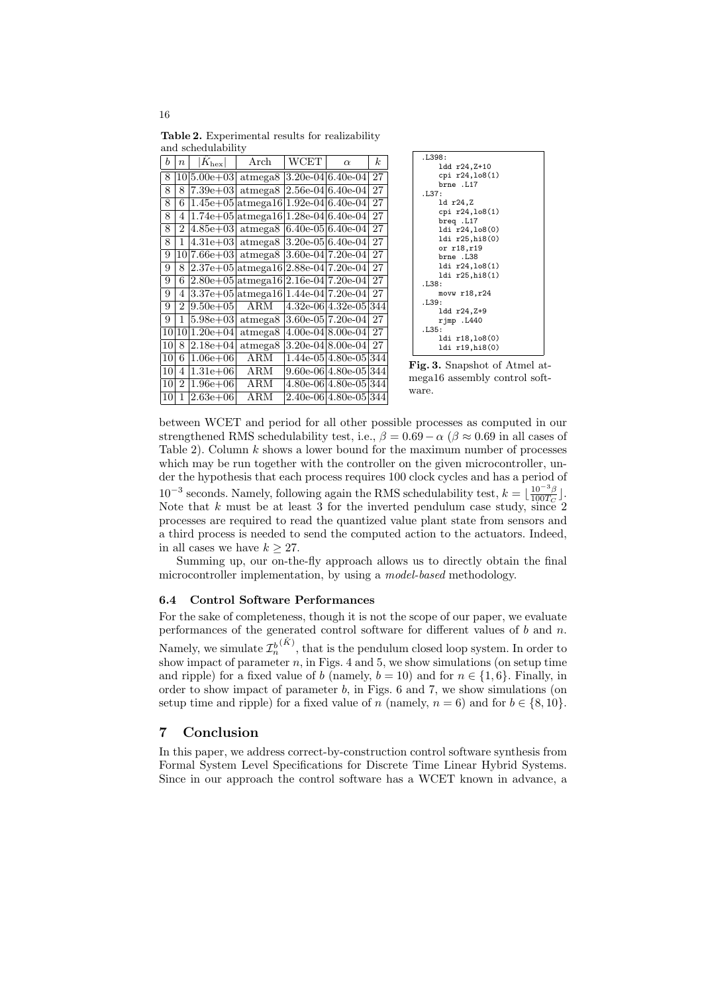Table 2. Experimental results for realizability and schedulability

| b  | $\boldsymbol{n}$ | $ K_{\rm hex} $ | Arch          | WCET | $\alpha$              | k   |
|----|------------------|-----------------|---------------|------|-----------------------|-----|
| 8  | 10               | $5.00e + 03$    | atmega8       |      | $3.20e-04 6.40e-04 $  | 27  |
| 8  | 8                | $7.39e + 03$    | atmega        |      | $2.56e-04 6.40e-04$   | 27  |
| 8  | 6                | $1.45e + 05$    | atmega16      |      | 1.92e-04 6.40e-04     | 27  |
| 8  | 4                | $1.74e + 05$    | atmega16      |      | 1.28e-04 6.40e-04     | 27  |
| 8  | $\overline{2}$   | $4.85e + 03$    | atmega8       |      | $6.40e-05 6.40e-04$   | 27  |
| 8  | 1                | $4.31e + 03$    | atmega        |      | $3.20e-056.40e-04$    | 27  |
| 9  | 10               | 7.66e+03        | atmega8       |      | 3.60e-04 7.20e-04     | 27  |
| 9  | 8                | $2.37e + 05$    | atmega16      |      | 2.88e-04 7.20e-04     | 27  |
| 9  | 6                | $2.80e + 05$    | atmega16      |      | 2.16e-04 7.20e-04     | 27  |
| 9  | 4                | $3.37e + 0.5$   | atmega16      |      | 1.44e-04 7.20e-04     | 27  |
| 9  | $\overline{2}$   | $9.50e + 05$    | ARM           |      | $4.32e-06 4.32e-05 $  | 344 |
| 9  | 1                | $5.98e + 03$    | at mega8      |      | 3.60e-05 7.20e-04     | 27  |
| 10 | 10               | $1.20e + 04$    | atmega        |      | $4.00e-04 8.00e-04$   | 27  |
| 10 | 8                | $2.18e + 04$    | atmega        |      | $3.20e-04 8.00e-04$   | 27  |
| 10 | 6                | $1.06e + 06$    | ARM           |      | 1.44e-05 4.80e-05     | 344 |
| 10 | 4                | $1.31e + 06$    | $_{\rm{ARM}}$ |      | $9.60e-06 4.80e-05 $  | 344 |
| 10 | $\overline{2}$   | $1.96e + 06$    | $_{\rm{ARM}}$ |      | $4.80e-06 4.80e-05 $  | 344 |
| 10 | 1                | $2.63e + 06$    | ARM           |      | 2.40e-06 4.80e-05 344 |     |



Fig. 3. Snapshot of Atmel atmega16 assembly control software.

between WCET and period for all other possible processes as computed in our strengthened RMS schedulability test, i.e.,  $\beta = 0.69 - \alpha$  ( $\beta \approx 0.69$  in all cases of Table 2). Column k shows a lower bound for the maximum number of processes which may be run together with the controller on the given microcontroller, under the hypothesis that each process requires 100 clock cycles and has a period of 10<sup>-3</sup> seconds. Namely, following again the RMS schedulability test,  $k = \lfloor \frac{10^{-3} \beta}{100 T_C} \rfloor$ . Note that k must be at least 3 for the inverted pendulum case study, since  $2$ processes are required to read the quantized value plant state from sensors and a third process is needed to send the computed action to the actuators. Indeed, in all cases we have  $k \geq 27$ .

Summing up, our on-the-fly approach allows us to directly obtain the final microcontroller implementation, by using a model-based methodology.

#### 6.4 Control Software Performances

For the sake of completeness, though it is not the scope of our paper, we evaluate performances of the generated control software for different values of  $b$  and  $n$ . Namely, we simulate  $\mathcal{I}_n^b$  $(\hat{K})$ , that is the pendulum closed loop system. In order to show impact of parameter  $n$ , in Figs. 4 and 5, we show simulations (on setup time and ripple) for a fixed value of b (namely,  $b = 10$ ) and for  $n \in \{1, 6\}$ . Finally, in order to show impact of parameter  $b$ , in Figs. 6 and 7, we show simulations (on setup time and ripple) for a fixed value of n (namely,  $n = 6$ ) and for  $b \in \{8, 10\}$ .

### 7 Conclusion

In this paper, we address correct-by-construction control software synthesis from Formal System Level Specifications for Discrete Time Linear Hybrid Systems. Since in our approach the control software has a WCET known in advance, a

16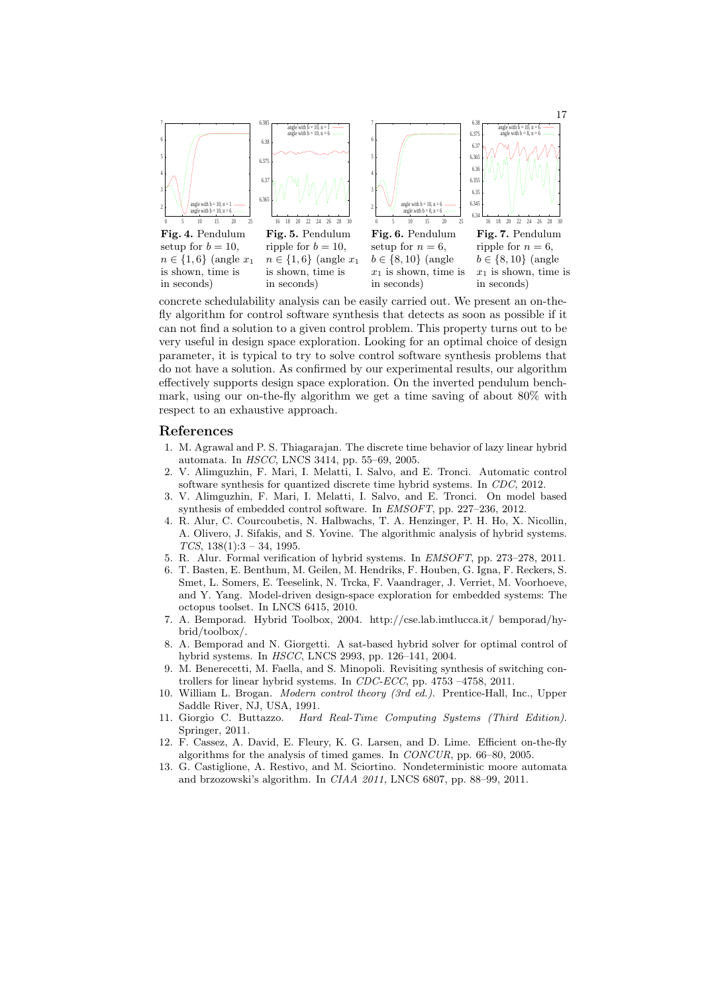

concrete schedulability analysis can be easily carried out. We present an on-thefly algorithm for control software synthesis that detects as soon as possible if it can not find a solution to a given control problem. This property turns out to be very useful in design space exploration. Looking for an optimal choice of design parameter, it is typical to try to solve control software synthesis problems that do not have a solution. As confirmed by our experimental results, our algorithm effectively supports design space exploration. On the inverted pendulum benchmark, using our on-the-fly algorithm we get a time saving of about 80% with respect to an exhaustive approach.

# References

- 1. M. Agrawal and P. S. Thiagarajan. The discrete time behavior of lazy linear hybrid automata. In *HSCC*, LNCS 3414, pp. 55–69, 2005.
- 2. V. Alimguzhin, F. Mari, I. Melatti, I. Salvo, and E. Tronci. Automatic control software synthesis for quantized discrete time hybrid systems. In *CDC*, 2012.
- 3. V. Alimguzhin, F. Mari, I. Melatti, I. Salvo, and E. Tronci. On model based synthesis of embedded control software. In *EMSOFT*, pp. 227–236, 2012.
- 4. R. Alur, C. Courcoubetis, N. Halbwachs, T. A. Henzinger, P. H. Ho, X. Nicollin, A. Olivero, J. Sifakis, and S. Yovine. The algorithmic analysis of hybrid systems. *TCS*, 138(1):3 – 34, 1995.
- 5. R. Alur. Formal verification of hybrid systems. In *EMSOFT*, pp. 273–278, 2011.
- 6. T. Basten, E. Benthum, M. Geilen, M. Hendriks, F. Houben, G. Igna, F. Reckers, S. Smet, L. Somers, E. Teeselink, N. Trcka, F. Vaandrager, J. Verriet, M. Voorhoeve, and Y. Yang. Model-driven design-space exploration for embedded systems: The octopus toolset. In LNCS 6415, 2010.
- 7. A. Bemporad. Hybrid Toolbox, 2004. http://cse.lab.imtlucca.it/ bemporad/hybrid/toolbox/.
- 8. A. Bemporad and N. Giorgetti. A sat-based hybrid solver for optimal control of hybrid systems. In *HSCC*, LNCS 2993, pp. 126–141, 2004.
- 9. M. Benerecetti, M. Faella, and S. Minopoli. Revisiting synthesis of switching controllers for linear hybrid systems. In *CDC-ECC*, pp. 4753 –4758, 2011.
- 10. William L. Brogan. *Modern control theory (3rd ed.)*. Prentice-Hall, Inc., Upper Saddle River, NJ, USA, 1991.
- 11. Giorgio C. Buttazzo. *Hard Real-Time Computing Systems (Third Edition)*. Springer, 2011.
- 12. F. Cassez, A. David, E. Fleury, K. G. Larsen, and D. Lime. Efficient on-the-fly algorithms for the analysis of timed games. In *CONCUR*, pp. 66–80, 2005.
- 13. G. Castiglione, A. Restivo, and M. Sciortino. Nondeterministic moore automata and brzozowski's algorithm. In *CIAA 2011*, LNCS 6807, pp. 88–99, 2011.